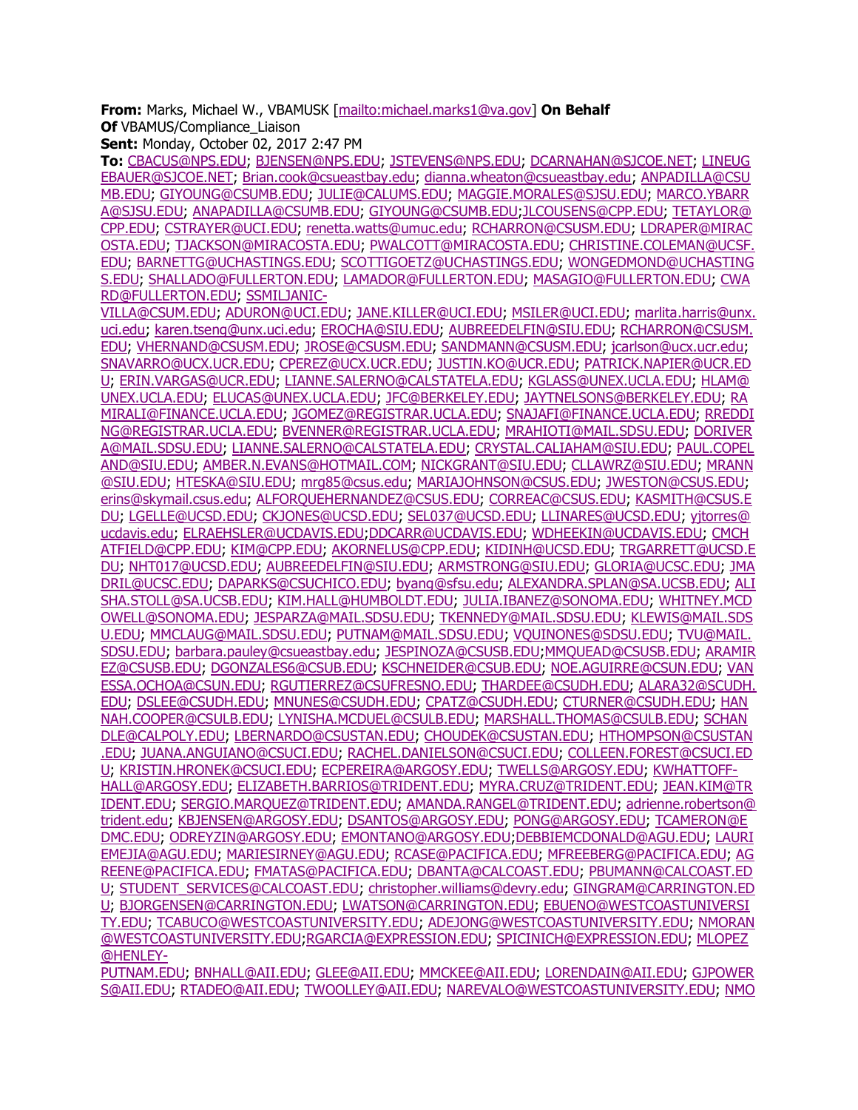**From:** Marks, Michael W., VBAMUSK [\[mailto:michael.marks1@va.gov\]](mailto:michael.marks1@va.gov) **On Behalf Of** VBAMUS/Compliance Liaison

**Sent:** Monday, October 02, 2017 2:47 PM

**To:** [CBACUS@NPS.EDU;](mailto:CBACUS@NPS.EDU) [BJENSEN@NPS.EDU;](mailto:BJENSEN@NPS.EDU) [JSTEVENS@NPS.EDU;](mailto:JSTEVENS@NPS.EDU) [DCARNAHAN@SJCOE.NET;](mailto:DCARNAHAN@SJCOE.NET) [LINEUG](mailto:LINEUGEBAUER@SJCOE.NET) [EBAUER@SJCOE.NET;](mailto:LINEUGEBAUER@SJCOE.NET) [Brian.cook@csueastbay.edu;](mailto:Brian.cook@csueastbay.edu) [dianna.wheaton@csueastbay.edu;](mailto:dianna.wheaton@csueastbay.edu) [ANPADILLA@CSU](mailto:ANPADILLA@CSUMB.EDU) [MB.EDU;](mailto:ANPADILLA@CSUMB.EDU) [GIYOUNG@CSUMB.EDU;](mailto:GIYOUNG@CSUMB.EDU) [JULIE@CALUMS.EDU;](mailto:JULIE@CALUMS.EDU) [MAGGIE.MORALES@SJSU.EDU;](mailto:MAGGIE.MORALES@SJSU.EDU) [MARCO.YBARR](mailto:MARCO.YBARRA@SJSU.EDU) [A@SJSU.EDU;](mailto:MARCO.YBARRA@SJSU.EDU) [ANAPADILLA@CSUMB.EDU;](mailto:ANAPADILLA@CSUMB.EDU) [GIYOUNG@CSUMB.EDU;](mailto:GIYOUNG@CSUMB.EDU)[JLCOUSENS@CPP.EDU;](mailto:JLCOUSENS@CPP.EDU) [TETAYLOR@](mailto:TETAYLOR@CPP.EDU) [CPP.EDU;](mailto:TETAYLOR@CPP.EDU) [CSTRAYER@UCI.EDU;](mailto:CSTRAYER@UCI.EDU) [renetta.watts@umuc.edu;](mailto:renetta.watts@umuc.edu) [RCHARRON@CSUSM.EDU;](mailto:RCHARRON@CSUSM.EDU) [LDRAPER@MIRAC](mailto:LDRAPER@MIRACOSTA.EDU) [OSTA.EDU;](mailto:LDRAPER@MIRACOSTA.EDU) [TJACKSON@MIRACOSTA.EDU;](mailto:TJACKSON@MIRACOSTA.EDU) [PWALCOTT@MIRACOSTA.EDU;](mailto:PWALCOTT@MIRACOSTA.EDU) [CHRISTINE.COLEMAN@UCSF.](mailto:CHRISTINE.COLEMAN@UCSF.EDU) [EDU;](mailto:CHRISTINE.COLEMAN@UCSF.EDU) [BARNETTG@UCHASTINGS.EDU;](mailto:BARNETTG@UCHASTINGS.EDU) [SCOTTIGOETZ@UCHASTINGS.EDU;](mailto:SCOTTIGOETZ@UCHASTINGS.EDU) [WONGEDMOND@UCHASTING](mailto:WONGEDMOND@UCHASTINGS.EDU) [S.EDU;](mailto:WONGEDMOND@UCHASTINGS.EDU) [SHALLADO@FULLERTON.EDU;](mailto:SHALLADO@FULLERTON.EDU) [LAMADOR@FULLERTON.EDU;](mailto:LAMADOR@FULLERTON.EDU) [MASAGIO@FULLERTON.EDU;](mailto:MASAGIO@FULLERTON.EDU) [CWA](mailto:CWARD@FULLERTON.EDU) [RD@FULLERTON.EDU;](mailto:CWARD@FULLERTON.EDU) [SSMILJANIC-](mailto:SSMILJANIC-VILLA@CSUM.EDU)

[VILLA@CSUM.EDU;](mailto:SSMILJANIC-VILLA@CSUM.EDU) [ADURON@UCI.EDU;](mailto:ADURON@UCI.EDU) [JANE.KILLER@UCI.EDU;](mailto:JANE.KILLER@UCI.EDU) [MSILER@UCI.EDU;](mailto:MSILER@UCI.EDU) [marlita.harris@unx.](mailto:marlita.harris@unx.uci.edu) [uci.edu;](mailto:marlita.harris@unx.uci.edu) [karen.tseng@unx.uci.edu;](mailto:karen.tseng@unx.uci.edu) [EROCHA@SIU.EDU;](mailto:EROCHA@SIU.EDU) [AUBREEDELFIN@SIU.EDU;](mailto:AUBREEDELFIN@SIU.EDU) [RCHARRON@CSUSM.](mailto:RCHARRON@CSUSM.EDU) [EDU;](mailto:RCHARRON@CSUSM.EDU) [VHERNAND@CSUSM.EDU;](mailto:VHERNAND@CSUSM.EDU) [JROSE@CSUSM.EDU;](mailto:JROSE@CSUSM.EDU) [SANDMANN@CSUSM.EDU;](mailto:SANDMANN@CSUSM.EDU) [jcarlson@ucx.ucr.edu;](mailto:jcarlson@ucx.ucr.edu) [SNAVARRO@UCX.UCR.EDU;](mailto:SNAVARRO@UCX.UCR.EDU) [CPEREZ@UCX.UCR.EDU;](mailto:CPEREZ@UCX.UCR.EDU) [JUSTIN.KO@UCR.EDU;](mailto:JUSTIN.KO@UCR.EDU) [PATRICK.NAPIER@UCR.ED](mailto:PATRICK.NAPIER@UCR.EDU) [U;](mailto:PATRICK.NAPIER@UCR.EDU) [ERIN.VARGAS@UCR.EDU;](mailto:ERIN.VARGAS@UCR.EDU) [LIANNE.SALERNO@CALSTATELA.EDU;](mailto:LIANNE.SALERNO@CALSTATELA.EDU) [KGLASS@UNEX.UCLA.EDU;](mailto:KGLASS@UNEX.UCLA.EDU) [HLAM@](mailto:HLAM@UNEX.UCLA.EDU) [UNEX.UCLA.EDU;](mailto:HLAM@UNEX.UCLA.EDU) [ELUCAS@UNEX.UCLA.EDU;](mailto:ELUCAS@UNEX.UCLA.EDU) [JFC@BERKELEY.EDU;](mailto:JFC@BERKELEY.EDU) [JAYTNELSONS@BERKELEY.EDU;](mailto:JAYTNELSONS@BERKELEY.EDU) [RA](mailto:RAMIRALI@FINANCE.UCLA.EDU) [MIRALI@FINANCE.UCLA.EDU;](mailto:RAMIRALI@FINANCE.UCLA.EDU) [JGOMEZ@REGISTRAR.UCLA.EDU;](mailto:JGOMEZ@REGISTRAR.UCLA.EDU) [SNAJAFI@FINANCE.UCLA.EDU;](mailto:SNAJAFI@FINANCE.UCLA.EDU) [RREDDI](mailto:RREDDING@REGISTRAR.UCLA.EDU) [NG@REGISTRAR.UCLA.EDU;](mailto:RREDDING@REGISTRAR.UCLA.EDU) [BVENNER@REGISTRAR.UCLA.EDU;](mailto:BVENNER@REGISTRAR.UCLA.EDU) [MRAHIOTI@MAIL.SDSU.EDU;](mailto:MRAHIOTI@MAIL.SDSU.EDU) [DORIVER](mailto:DORIVERA@MAIL.SDSU.EDU) [A@MAIL.SDSU.EDU;](mailto:DORIVERA@MAIL.SDSU.EDU) [LIANNE.SALERNO@CALSTATELA.EDU;](mailto:LIANNE.SALERNO@CALSTATELA.EDU) [CRYSTAL.CALIAHAM@SIU.EDU;](mailto:CRYSTAL.CALIAHAM@SIU.EDU) [PAUL.COPEL](mailto:PAUL.COPELAND@SIU.EDU) [AND@SIU.EDU;](mailto:PAUL.COPELAND@SIU.EDU) [AMBER.N.EVANS@HOTMAIL.COM;](mailto:AMBER.N.EVANS@HOTMAIL.COM) [NICKGRANT@SIU.EDU;](mailto:NICKGRANT@SIU.EDU) [CLLAWRZ@SIU.EDU;](mailto:CLLAWRZ@SIU.EDU) [MRANN](mailto:MRANN@SIU.EDU) [@SIU.EDU;](mailto:MRANN@SIU.EDU) [HTESKA@SIU.EDU;](mailto:HTESKA@SIU.EDU) [mrg85@csus.edu;](mailto:mrg85@csus.edu) [MARIAJOHNSON@CSUS.EDU;](mailto:MARIAJOHNSON@CSUS.EDU) [JWESTON@CSUS.EDU;](mailto:JWESTON@CSUS.EDU) [erins@skymail.csus.edu;](mailto:erins@skymail.csus.edu) [ALFORQUEHERNANDEZ@CSUS.EDU;](mailto:ALFORQUEHERNANDEZ@CSUS.EDU) [CORREAC@CSUS.EDU;](mailto:CORREAC@CSUS.EDU) [KASMITH@CSUS.E](mailto:KASMITH@CSUS.EDU) [DU;](mailto:KASMITH@CSUS.EDU) [LGELLE@UCSD.EDU;](mailto:LGELLE@UCSD.EDU) [CKJONES@UCSD.EDU;](mailto:CKJONES@UCSD.EDU) [SEL037@UCSD.EDU;](mailto:SEL037@UCSD.EDU) [LLINARES@UCSD.EDU;](mailto:LLINARES@UCSD.EDU) [yjtorres@](mailto:yjtorres@ucdavis.edu) [ucdavis.edu;](mailto:yjtorres@ucdavis.edu) [ELRAEHSLER@UCDAVIS.EDU](mailto:ELRAEHSLER@UCDAVIS.EDU)[;DDCARR@UCDAVIS.EDU;](mailto:DDCARR@UCDAVIS.EDU) [WDHEEKIN@UCDAVIS.EDU;](mailto:WDHEEKIN@UCDAVIS.EDU) [CMCH](mailto:CMCHATFIELD@CPP.EDU) [ATFIELD@CPP.EDU;](mailto:CMCHATFIELD@CPP.EDU) [KIM@CPP.EDU;](mailto:KIM@CPP.EDU) [AKORNELUS@CPP.EDU;](mailto:AKORNELUS@CPP.EDU) [KIDINH@UCSD.EDU;](mailto:KIDINH@UCSD.EDU) [TRGARRETT@UCSD.E](mailto:TRGARRETT@UCSD.EDU) [DU;](mailto:TRGARRETT@UCSD.EDU) [NHT017@UCSD.EDU;](mailto:NHT017@UCSD.EDU) [AUBREEDELFIN@SIU.EDU;](mailto:AUBREEDELFIN@SIU.EDU) [ARMSTRONG@SIU.EDU;](mailto:ARMSTRONG@SIU.EDU) [GLORIA@UCSC.EDU;](mailto:GLORIA@UCSC.EDU) [JMA](mailto:JMADRIL@UCSC.EDU) [DRIL@UCSC.EDU;](mailto:JMADRIL@UCSC.EDU) [DAPARKS@CSUCHICO.EDU;](mailto:DAPARKS@CSUCHICO.EDU) [byang@sfsu.edu;](mailto:byang@sfsu.edu) [ALEXANDRA.SPLAN@SA.UCSB.EDU;](mailto:ALEXANDRA.SPLAN@SA.UCSB.EDU) [ALI](mailto:ALISHA.STOLL@SA.UCSB.EDU) [SHA.STOLL@SA.UCSB.EDU;](mailto:ALISHA.STOLL@SA.UCSB.EDU) [KIM.HALL@HUMBOLDT.EDU;](mailto:KIM.HALL@HUMBOLDT.EDU) [JULIA.IBANEZ@SONOMA.EDU;](mailto:JULIA.IBANEZ@SONOMA.EDU) [WHITNEY.MCD](mailto:WHITNEY.MCDOWELL@SONOMA.EDU) [OWELL@SONOMA.EDU;](mailto:WHITNEY.MCDOWELL@SONOMA.EDU) [JESPARZA@MAIL.SDSU.EDU;](mailto:JESPARZA@MAIL.SDSU.EDU) [TKENNEDY@MAIL.SDSU.EDU;](mailto:TKENNEDY@MAIL.SDSU.EDU) [KLEWIS@MAIL.SDS](mailto:KLEWIS@MAIL.SDSU.EDU) [U.EDU;](mailto:KLEWIS@MAIL.SDSU.EDU) [MMCLAUG@MAIL.SDSU.EDU;](mailto:MMCLAUG@MAIL.SDSU.EDU) [PUTNAM@MAIL.SDSU.EDU;](mailto:PUTNAM@MAIL.SDSU.EDU) [VQUINONES@SDSU.EDU;](mailto:VQUINONES@SDSU.EDU) [TVU@MAIL.](mailto:TVU@MAIL.SDSU.EDU) [SDSU.EDU;](mailto:TVU@MAIL.SDSU.EDU) [barbara.pauley@csueastbay.edu;](mailto:barbara.pauley@csueastbay.edu) [JESPINOZA@CSUSB.EDU;](mailto:JESPINOZA@CSUSB.EDU)[MMQUEAD@CSUSB.EDU;](mailto:MMQUEAD@CSUSB.EDU) [ARAMIR](mailto:ARAMIREZ@CSUSB.EDU) [EZ@CSUSB.EDU;](mailto:ARAMIREZ@CSUSB.EDU) [DGONZALES6@CSUB.EDU;](mailto:DGONZALES6@CSUB.EDU) [KSCHNEIDER@CSUB.EDU;](mailto:KSCHNEIDER@CSUB.EDU) [NOE.AGUIRRE@CSUN.EDU;](mailto:NOE.AGUIRRE@CSUN.EDU) [VAN](mailto:VANESSA.OCHOA@CSUN.EDU) [ESSA.OCHOA@CSUN.EDU;](mailto:VANESSA.OCHOA@CSUN.EDU) [RGUTIERREZ@CSUFRESNO.EDU;](mailto:RGUTIERREZ@CSUFRESNO.EDU) [THARDEE@CSUDH.EDU;](mailto:THARDEE@CSUDH.EDU) [ALARA32@SCUDH.](mailto:ALARA32@SCUDH.EDU) [EDU;](mailto:ALARA32@SCUDH.EDU) [DSLEE@CSUDH.EDU;](mailto:DSLEE@CSUDH.EDU) [MNUNES@CSUDH.EDU;](mailto:MNUNES@CSUDH.EDU) [CPATZ@CSUDH.EDU;](mailto:CPATZ@CSUDH.EDU) [CTURNER@CSUDH.EDU;](mailto:CTURNER@CSUDH.EDU) [HAN](mailto:HANNAH.COOPER@CSULB.EDU) [NAH.COOPER@CSULB.EDU;](mailto:HANNAH.COOPER@CSULB.EDU) [LYNISHA.MCDUEL@CSULB.EDU;](mailto:LYNISHA.MCDUEL@CSULB.EDU) [MARSHALL.THOMAS@CSULB.EDU;](mailto:MARSHALL.THOMAS@CSULB.EDU) [SCHAN](mailto:SCHANDLE@CALPOLY.EDU) [DLE@CALPOLY.EDU;](mailto:SCHANDLE@CALPOLY.EDU) [LBERNARDO@CSUSTAN.EDU;](mailto:LBERNARDO@CSUSTAN.EDU) [CHOUDEK@CSUSTAN.EDU;](mailto:CHOUDEK@CSUSTAN.EDU) [HTHOMPSON@CSUSTAN](mailto:HTHOMPSON@CSUSTAN.EDU) [.EDU;](mailto:HTHOMPSON@CSUSTAN.EDU) [JUANA.ANGUIANO@CSUCI.EDU;](mailto:JUANA.ANGUIANO@CSUCI.EDU) [RACHEL.DANIELSON@CSUCI.EDU;](mailto:RACHEL.DANIELSON@CSUCI.EDU) [COLLEEN.FOREST@CSUCI.ED](mailto:COLLEEN.FOREST@CSUCI.EDU) [U;](mailto:COLLEEN.FOREST@CSUCI.EDU) [KRISTIN.HRONEK@CSUCI.EDU;](mailto:KRISTIN.HRONEK@CSUCI.EDU) [ECPEREIRA@ARGOSY.EDU;](mailto:ECPEREIRA@ARGOSY.EDU) [TWELLS@ARGOSY.EDU;](mailto:TWELLS@ARGOSY.EDU) [KWHATTOFF-](mailto:KWHATTOFF-HALL@ARGOSY.EDU)[HALL@ARGOSY.EDU;](mailto:KWHATTOFF-HALL@ARGOSY.EDU) [ELIZABETH.BARRIOS@TRIDENT.EDU;](mailto:ELIZABETH.BARRIOS@TRIDENT.EDU) [MYRA.CRUZ@TRIDENT.EDU;](mailto:MYRA.CRUZ@TRIDENT.EDU) [JEAN.KIM@TR](mailto:JEAN.KIM@TRIDENT.EDU) [IDENT.EDU;](mailto:JEAN.KIM@TRIDENT.EDU) [SERGIO.MARQUEZ@TRIDENT.EDU;](mailto:SERGIO.MARQUEZ@TRIDENT.EDU) [AMANDA.RANGEL@TRIDENT.EDU;](mailto:AMANDA.RANGEL@TRIDENT.EDU) [adrienne.robertson@](mailto:adrienne.robertson@trident.edu) [trident.edu;](mailto:adrienne.robertson@trident.edu) [KBJENSEN@ARGOSY.EDU;](mailto:KBJENSEN@ARGOSY.EDU) [DSANTOS@ARGOSY.EDU;](mailto:DSANTOS@ARGOSY.EDU) [PONG@ARGOSY.EDU;](mailto:PONG@ARGOSY.EDU) [TCAMERON@E](mailto:TCAMERON@EDMC.EDU) [DMC.EDU;](mailto:TCAMERON@EDMC.EDU) [ODREYZIN@ARGOSY.EDU;](mailto:ODREYZIN@ARGOSY.EDU) [EMONTANO@ARGOSY.EDU;](mailto:EMONTANO@ARGOSY.EDU)[DEBBIEMCDONALD@AGU.EDU;](mailto:DEBBIEMCDONALD@AGU.EDU) [LAURI](mailto:LAURIEMEJIA@AGU.EDU) [EMEJIA@AGU.EDU;](mailto:LAURIEMEJIA@AGU.EDU) [MARIESIRNEY@AGU.EDU;](mailto:MARIESIRNEY@AGU.EDU) [RCASE@PACIFICA.EDU;](mailto:RCASE@PACIFICA.EDU) [MFREEBERG@PACIFICA.EDU;](mailto:MFREEBERG@PACIFICA.EDU) [AG](mailto:AGREENE@PACIFICA.EDU) [REENE@PACIFICA.EDU;](mailto:AGREENE@PACIFICA.EDU) [FMATAS@PACIFICA.EDU;](mailto:FMATAS@PACIFICA.EDU) [DBANTA@CALCOAST.EDU;](mailto:DBANTA@CALCOAST.EDU) [PBUMANN@CALCOAST.ED](mailto:PBUMANN@CALCOAST.EDU) [U;](mailto:PBUMANN@CALCOAST.EDU) [STUDENT\\_SERVICES@CALCOAST.EDU;](mailto:STUDENT_SERVICES@CALCOAST.EDU) [christopher.williams@devry.edu;](mailto:christopher.williams@devry.edu) [GINGRAM@CARRINGTON.ED](mailto:GINGRAM@CARRINGTON.EDU) [U;](mailto:GINGRAM@CARRINGTON.EDU) [BJORGENSEN@CARRINGTON.EDU;](mailto:BJORGENSEN@CARRINGTON.EDU) [LWATSON@CARRINGTON.EDU;](mailto:LWATSON@CARRINGTON.EDU) [EBUENO@WESTCOASTUNIVERSI](mailto:EBUENO@WESTCOASTUNIVERSITY.EDU) [TY.EDU;](mailto:EBUENO@WESTCOASTUNIVERSITY.EDU) [TCABUCO@WESTCOASTUNIVERSITY.EDU;](mailto:TCABUCO@WESTCOASTUNIVERSITY.EDU) [ADEJONG@WESTCOASTUNIVERSITY.EDU;](mailto:ADEJONG@WESTCOASTUNIVERSITY.EDU) [NMORAN](mailto:NMORAN@WESTCOASTUNIVERSITY.EDU) [@WESTCOASTUNIVERSITY.EDU;](mailto:NMORAN@WESTCOASTUNIVERSITY.EDU)[RGARCIA@EXPRESSION.EDU;](mailto:RGARCIA@EXPRESSION.EDU) [SPICINICH@EXPRESSION.EDU;](mailto:SPICINICH@EXPRESSION.EDU) [MLOPEZ](mailto:MLOPEZ@HENLEY-PUTNAM.EDU) [@HENLEY-](mailto:MLOPEZ@HENLEY-PUTNAM.EDU)

[PUTNAM.EDU;](mailto:MLOPEZ@HENLEY-PUTNAM.EDU) [BNHALL@AII.EDU;](mailto:BNHALL@AII.EDU) [GLEE@AII.EDU;](mailto:GLEE@AII.EDU) [MMCKEE@AII.EDU;](mailto:MMCKEE@AII.EDU) [LORENDAIN@AII.EDU;](mailto:LORENDAIN@AII.EDU) [GJPOWER](mailto:GJPOWERS@AII.EDU) [S@AII.EDU;](mailto:GJPOWERS@AII.EDU) [RTADEO@AII.EDU;](mailto:RTADEO@AII.EDU) [TWOOLLEY@AII.EDU;](mailto:TWOOLLEY@AII.EDU) [NAREVALO@WESTCOASTUNIVERSITY.EDU;](mailto:NAREVALO@WESTCOASTUNIVERSITY.EDU) [NMO](mailto:NMORAN@WESTCOASTUNIVERSITY.EDU)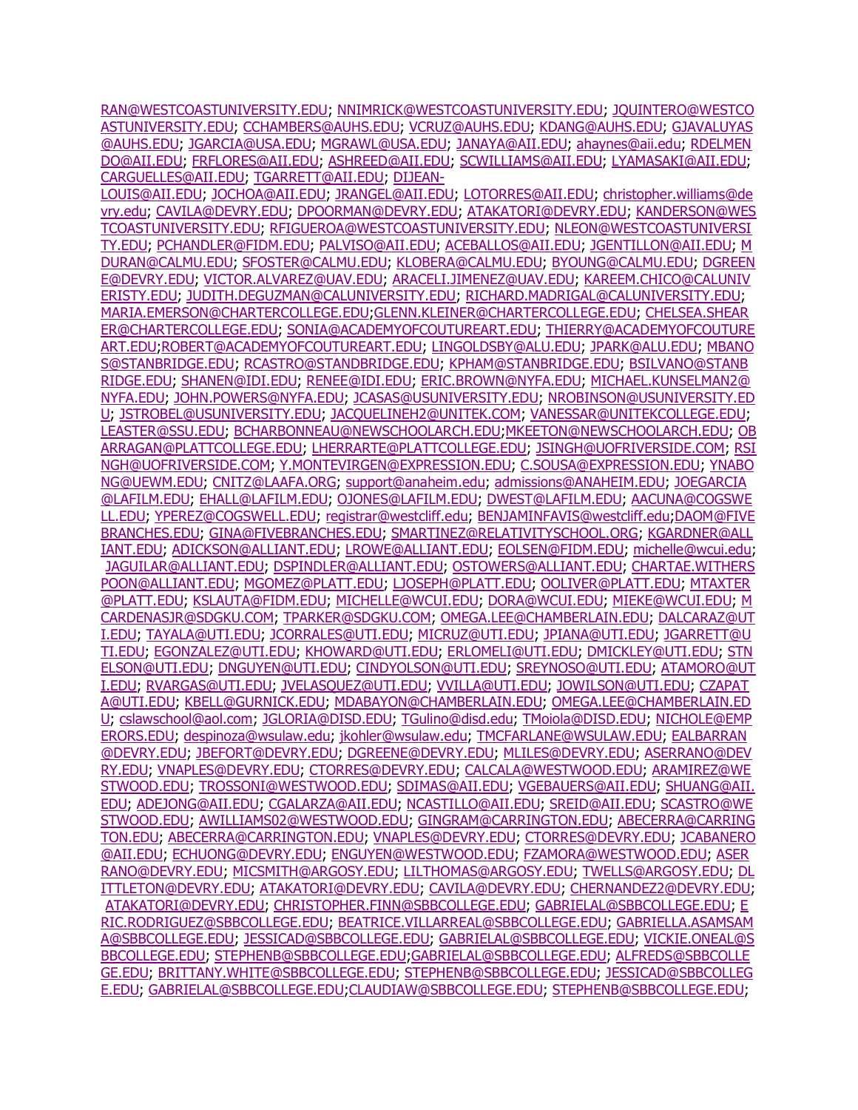[RAN@WESTCOASTUNIVERSITY.EDU;](mailto:NMORAN@WESTCOASTUNIVERSITY.EDU) [NNIMRICK@WESTCOASTUNIVERSITY.EDU;](mailto:NNIMRICK@WESTCOASTUNIVERSITY.EDU) [JQUINTERO@WESTCO](mailto:JQUINTERO@WESTCOASTUNIVERSITY.EDU) [ASTUNIVERSITY.EDU;](mailto:JQUINTERO@WESTCOASTUNIVERSITY.EDU) [CCHAMBERS@AUHS.EDU;](mailto:CCHAMBERS@AUHS.EDU) [VCRUZ@AUHS.EDU;](mailto:VCRUZ@AUHS.EDU) [KDANG@AUHS.EDU;](mailto:KDANG@AUHS.EDU) [GJAVALUYAS](mailto:GJAVALUYAS@AUHS.EDU) [@AUHS.EDU;](mailto:GJAVALUYAS@AUHS.EDU) [JGARCIA@USA.EDU;](mailto:JGARCIA@USA.EDU) [MGRAWL@USA.EDU;](mailto:MGRAWL@USA.EDU) [JANAYA@AII.EDU;](mailto:JANAYA@AII.EDU) [ahaynes@aii.edu;](mailto:ahaynes@aii.edu) [RDELMEN](mailto:RDELMENDO@AII.EDU) [DO@AII.EDU;](mailto:RDELMENDO@AII.EDU) [FRFLORES@AII.EDU;](mailto:FRFLORES@AII.EDU) [ASHREED@AII.EDU;](mailto:ASHREED@AII.EDU) [SCWILLIAMS@AII.EDU;](mailto:SCWILLIAMS@AII.EDU) [LYAMASAKI@AII.EDU;](mailto:LYAMASAKI@AII.EDU) [CARGUELLES@AII.EDU;](mailto:CARGUELLES@AII.EDU) [TGARRETT@AII.EDU;](mailto:TGARRETT@AII.EDU) [DIJEAN-](mailto:DIJEAN-LOUIS@AII.EDU)

[LOUIS@AII.EDU;](mailto:DIJEAN-LOUIS@AII.EDU) [JOCHOA@AII.EDU;](mailto:JOCHOA@AII.EDU) [JRANGEL@AII.EDU;](mailto:JRANGEL@AII.EDU) [LOTORRES@AII.EDU;](mailto:LOTORRES@AII.EDU) [christopher.williams@de](mailto:christopher.williams@devry.edu) [vry.edu;](mailto:christopher.williams@devry.edu) [CAVILA@DEVRY.EDU;](mailto:CAVILA@DEVRY.EDU) [DPOORMAN@DEVRY.EDU;](mailto:DPOORMAN@DEVRY.EDU) [ATAKATORI@DEVRY.EDU;](mailto:ATAKATORI@DEVRY.EDU) [KANDERSON@WES](mailto:KANDERSON@WESTCOASTUNIVERSITY.EDU) [TCOASTUNIVERSITY.EDU;](mailto:KANDERSON@WESTCOASTUNIVERSITY.EDU) [RFIGUEROA@WESTCOASTUNIVERSITY.EDU;](mailto:RFIGUEROA@WESTCOASTUNIVERSITY.EDU) [NLEON@WESTCOASTUNIVERSI](mailto:NLEON@WESTCOASTUNIVERSITY.EDU) [TY.EDU;](mailto:NLEON@WESTCOASTUNIVERSITY.EDU) [PCHANDLER@FIDM.EDU;](mailto:PCHANDLER@FIDM.EDU) [PALVISO@AII.EDU;](mailto:PALVISO@AII.EDU) [ACEBALLOS@AII.EDU;](mailto:ACEBALLOS@AII.EDU) [JGENTILLON@AII.EDU;](mailto:JGENTILLON@AII.EDU) [M](mailto:MDURAN@CALMU.EDU) [DURAN@CALMU.EDU;](mailto:MDURAN@CALMU.EDU) [SFOSTER@CALMU.EDU;](mailto:SFOSTER@CALMU.EDU) [KLOBERA@CALMU.EDU;](mailto:KLOBERA@CALMU.EDU) [BYOUNG@CALMU.EDU;](mailto:BYOUNG@CALMU.EDU) [DGREEN](mailto:DGREENE@DEVRY.EDU) [E@DEVRY.EDU;](mailto:DGREENE@DEVRY.EDU) [VICTOR.ALVAREZ@UAV.EDU;](mailto:VICTOR.ALVAREZ@UAV.EDU) [ARACELI.JIMENEZ@UAV.EDU;](mailto:ARACELI.JIMENEZ@UAV.EDU) [KAREEM.CHICO@CALUNIV](mailto:KAREEM.CHICO@CALUNIVERISTY.EDU) [ERISTY.EDU;](mailto:KAREEM.CHICO@CALUNIVERISTY.EDU) [JUDITH.DEGUZMAN@CALUNIVERSITY.EDU;](mailto:JUDITH.DEGUZMAN@CALUNIVERSITY.EDU) [RICHARD.MADRIGAL@CALUNIVERSITY.EDU;](mailto:RICHARD.MADRIGAL@CALUNIVERSITY.EDU) [MARIA.EMERSON@CHARTERCOLLEGE.EDU;](mailto:MARIA.EMERSON@CHARTERCOLLEGE.EDU)[GLENN.KLEINER@CHARTERCOLLEGE.EDU;](mailto:GLENN.KLEINER@CHARTERCOLLEGE.EDU) [CHELSEA.SHEAR](mailto:CHELSEA.SHEARER@CHARTERCOLLEGE.EDU) [ER@CHARTERCOLLEGE.EDU;](mailto:CHELSEA.SHEARER@CHARTERCOLLEGE.EDU) [SONIA@ACADEMYOFCOUTUREART.EDU;](mailto:SONIA@ACADEMYOFCOUTUREART.EDU) [THIERRY@ACADEMYOFCOUTURE](mailto:THIERRY@ACADEMYOFCOUTUREART.EDU) [ART.EDU](mailto:THIERRY@ACADEMYOFCOUTUREART.EDU)[;ROBERT@ACADEMYOFCOUTUREART.EDU;](mailto:ROBERT@ACADEMYOFCOUTUREART.EDU) [LINGOLDSBY@ALU.EDU;](mailto:LINGOLDSBY@ALU.EDU) [JPARK@ALU.EDU;](mailto:JPARK@ALU.EDU) [MBANO](mailto:MBANOS@STANBRIDGE.EDU) [S@STANBRIDGE.EDU;](mailto:MBANOS@STANBRIDGE.EDU) [RCASTRO@STANDBRIDGE.EDU;](mailto:RCASTRO@STANDBRIDGE.EDU) [KPHAM@STANBRIDGE.EDU;](mailto:KPHAM@STANBRIDGE.EDU) [BSILVANO@STANB](mailto:BSILVANO@STANBRIDGE.EDU) [RIDGE.EDU;](mailto:BSILVANO@STANBRIDGE.EDU) [SHANEN@IDI.EDU;](mailto:SHANEN@IDI.EDU) [RENEE@IDI.EDU;](mailto:RENEE@IDI.EDU) [ERIC.BROWN@NYFA.EDU;](mailto:ERIC.BROWN@NYFA.EDU) [MICHAEL.KUNSELMAN2@](mailto:MICHAEL.KUNSELMAN2@NYFA.EDU) [NYFA.EDU;](mailto:MICHAEL.KUNSELMAN2@NYFA.EDU) [JOHN.POWERS@NYFA.EDU;](mailto:JOHN.POWERS@NYFA.EDU) [JCASAS@USUNIVERSITY.EDU;](mailto:JCASAS@USUNIVERSITY.EDU) [NROBINSON@USUNIVERSITY.ED](mailto:NROBINSON@USUNIVERSITY.EDU) [U;](mailto:NROBINSON@USUNIVERSITY.EDU) [JSTROBEL@USUNIVERSITY.EDU;](mailto:JSTROBEL@USUNIVERSITY.EDU) [JACQUELINEH2@UNITEK.COM;](mailto:JACQUELINEH2@UNITEK.COM) [VANESSAR@UNITEKCOLLEGE.EDU;](mailto:VANESSAR@UNITEKCOLLEGE.EDU) [LEASTER@SSU.EDU;](mailto:LEASTER@SSU.EDU) [BCHARBONNEAU@NEWSCHOOLARCH.EDU;](mailto:BCHARBONNEAU@NEWSCHOOLARCH.EDU)[MKEETON@NEWSCHOOLARCH.EDU;](mailto:MKEETON@NEWSCHOOLARCH.EDU) [OB](mailto:OBARRAGAN@PLATTCOLLEGE.EDU) [ARRAGAN@PLATTCOLLEGE.EDU;](mailto:OBARRAGAN@PLATTCOLLEGE.EDU) [LHERRARTE@PLATTCOLLEGE.EDU;](mailto:LHERRARTE@PLATTCOLLEGE.EDU) [JSINGH@UOFRIVERSIDE.COM;](mailto:JSINGH@UOFRIVERSIDE.COM) [RSI](mailto:RSINGH@UOFRIVERSIDE.COM) [NGH@UOFRIVERSIDE.COM;](mailto:RSINGH@UOFRIVERSIDE.COM) [Y.MONTEVIRGEN@EXPRESSION.EDU;](mailto:Y.MONTEVIRGEN@EXPRESSION.EDU) [C.SOUSA@EXPRESSION.EDU;](mailto:C.SOUSA@EXPRESSION.EDU) [YNABO](mailto:YNABONG@UEWM.EDU) [NG@UEWM.EDU;](mailto:YNABONG@UEWM.EDU) [CNITZ@LAAFA.ORG;](mailto:CNITZ@LAAFA.ORG) [support@anaheim.edu;](mailto:support@anaheim.edu) [admissions@ANAHEIM.EDU;](mailto:admissions@ANAHEIM.EDU) [JOEGARCIA](mailto:JOEGARCIA@LAFILM.EDU) [@LAFILM.EDU;](mailto:JOEGARCIA@LAFILM.EDU) [EHALL@LAFILM.EDU;](mailto:EHALL@LAFILM.EDU) [OJONES@LAFILM.EDU;](mailto:OJONES@LAFILM.EDU) [DWEST@LAFILM.EDU;](mailto:DWEST@LAFILM.EDU) [AACUNA@COGSWE](mailto:AACUNA@COGSWELL.EDU) [LL.EDU;](mailto:AACUNA@COGSWELL.EDU) [YPEREZ@COGSWELL.EDU;](mailto:YPEREZ@COGSWELL.EDU) [registrar@westcliff.edu;](mailto:registrar@westcliff.edu) [BENJAMINFAVIS@westcliff.edu](mailto:BENJAMINFAVIS@westcliff.edu)[;DAOM@FIVE](mailto:DAOM@FIVEBRANCHES.EDU) [BRANCHES.EDU;](mailto:DAOM@FIVEBRANCHES.EDU) [GINA@FIVEBRANCHES.EDU;](mailto:GINA@FIVEBRANCHES.EDU) [SMARTINEZ@RELATIVITYSCHOOL.ORG;](mailto:SMARTINEZ@RELATIVITYSCHOOL.ORG) [KGARDNER@ALL](mailto:KGARDNER@ALLIANT.EDU) [IANT.EDU;](mailto:KGARDNER@ALLIANT.EDU) [ADICKSON@ALLIANT.EDU;](mailto:ADICKSON@ALLIANT.EDU) [LROWE@ALLIANT.EDU;](mailto:LROWE@ALLIANT.EDU) [EOLSEN@FIDM.EDU;](mailto:EOLSEN@FIDM.EDU) [michelle@wcui.edu;](mailto:michelle@wcui.edu) [JAGUILAR@ALLIANT.EDU;](mailto:JAGUILAR@ALLIANT.EDU) [DSPINDLER@ALLIANT.EDU;](mailto:DSPINDLER@ALLIANT.EDU) [OSTOWERS@ALLIANT.EDU;](mailto:OSTOWERS@ALLIANT.EDU) [CHARTAE.WITHERS](mailto:CHARTAE.WITHERSPOON@ALLIANT.EDU) [POON@ALLIANT.EDU;](mailto:CHARTAE.WITHERSPOON@ALLIANT.EDU) [MGOMEZ@PLATT.EDU;](mailto:MGOMEZ@PLATT.EDU) [LJOSEPH@PLATT.EDU;](mailto:LJOSEPH@PLATT.EDU) [OOLIVER@PLATT.EDU;](mailto:OOLIVER@PLATT.EDU) [MTAXTER](mailto:MTAXTER@PLATT.EDU) [@PLATT.EDU;](mailto:MTAXTER@PLATT.EDU) [KSLAUTA@FIDM.EDU;](mailto:KSLAUTA@FIDM.EDU) [MICHELLE@WCUI.EDU;](mailto:MICHELLE@WCUI.EDU) [DORA@WCUI.EDU;](mailto:DORA@WCUI.EDU) [MIEKE@WCUI.EDU;](mailto:MIEKE@WCUI.EDU) [M](mailto:MCARDENASJR@SDGKU.COM) [CARDENASJR@SDGKU.COM;](mailto:MCARDENASJR@SDGKU.COM) [TPARKER@SDGKU.COM;](mailto:TPARKER@SDGKU.COM) [OMEGA.LEE@CHAMBERLAIN.EDU;](mailto:OMEGA.LEE@CHAMBERLAIN.EDU) [DALCARAZ@UT](mailto:DALCARAZ@UTI.EDU) [I.EDU;](mailto:DALCARAZ@UTI.EDU) [TAYALA@UTI.EDU;](mailto:TAYALA@UTI.EDU) [JCORRALES@UTI.EDU;](mailto:JCORRALES@UTI.EDU) [MICRUZ@UTI.EDU;](mailto:MICRUZ@UTI.EDU) [JPIANA@UTI.EDU;](mailto:JPIANA@UTI.EDU) [JGARRETT@U](mailto:JGARRETT@UTI.EDU) [TI.EDU;](mailto:JGARRETT@UTI.EDU) [EGONZALEZ@UTI.EDU;](mailto:EGONZALEZ@UTI.EDU) [KHOWARD@UTI.EDU;](mailto:KHOWARD@UTI.EDU) [ERLOMELI@UTI.EDU;](mailto:ERLOMELI@UTI.EDU) [DMICKLEY@UTI.EDU;](mailto:DMICKLEY@UTI.EDU) [STN](mailto:STNELSON@UTI.EDU) [ELSON@UTI.EDU;](mailto:STNELSON@UTI.EDU) [DNGUYEN@UTI.EDU;](mailto:DNGUYEN@UTI.EDU) [CINDYOLSON@UTI.EDU;](mailto:CINDYOLSON@UTI.EDU) [SREYNOSO@UTI.EDU;](mailto:SREYNOSO@UTI.EDU) [ATAMORO@UT](mailto:ATAMORO@UTI.EDU) [I.EDU;](mailto:ATAMORO@UTI.EDU) [RVARGAS@UTI.EDU;](mailto:RVARGAS@UTI.EDU) [JVELASQUEZ@UTI.EDU;](mailto:JVELASQUEZ@UTI.EDU) [VVILLA@UTI.EDU;](mailto:VVILLA@UTI.EDU) [JOWILSON@UTI.EDU;](mailto:JOWILSON@UTI.EDU) [CZAPAT](mailto:CZAPATA@UTI.EDU) [A@UTI.EDU;](mailto:CZAPATA@UTI.EDU) [KBELL@GURNICK.EDU;](mailto:KBELL@GURNICK.EDU) [MDABAYON@CHAMBERLAIN.EDU;](mailto:MDABAYON@CHAMBERLAIN.EDU) [OMEGA.LEE@CHAMBERLAIN.ED](mailto:OMEGA.LEE@CHAMBERLAIN.EDU) [U;](mailto:OMEGA.LEE@CHAMBERLAIN.EDU) [cslawschool@aol.com;](mailto:cslawschool@aol.com) [JGLORIA@DISD.EDU;](mailto:JGLORIA@DISD.EDU) [TGulino@disd.edu;](mailto:TGulino@disd.edu) [TMoiola@DISD.EDU;](mailto:TMoiola@DISD.EDU) [NICHOLE@EMP](mailto:NICHOLE@EMPERORS.EDU) [ERORS.EDU;](mailto:NICHOLE@EMPERORS.EDU) [despinoza@wsulaw.edu;](mailto:despinoza@wsulaw.edu) [jkohler@wsulaw.edu;](mailto:jkohler@wsulaw.edu) [TMCFARLANE@WSULAW.EDU;](mailto:TMCFARLANE@WSULAW.EDU) [EALBARRAN](mailto:EALBARRAN@DEVRY.EDU) [@DEVRY.EDU;](mailto:EALBARRAN@DEVRY.EDU) [JBEFORT@DEVRY.EDU;](mailto:JBEFORT@DEVRY.EDU) [DGREENE@DEVRY.EDU;](mailto:DGREENE@DEVRY.EDU) [MLILES@DEVRY.EDU;](mailto:MLILES@DEVRY.EDU) [ASERRANO@DEV](mailto:ASERRANO@DEVRY.EDU) [RY.EDU;](mailto:ASERRANO@DEVRY.EDU) [VNAPLES@DEVRY.EDU;](mailto:VNAPLES@DEVRY.EDU) [CTORRES@DEVRY.EDU;](mailto:CTORRES@DEVRY.EDU) [CALCALA@WESTWOOD.EDU;](mailto:CALCALA@WESTWOOD.EDU) [ARAMIREZ@WE](mailto:ARAMIREZ@WESTWOOD.EDU) [STWOOD.EDU;](mailto:ARAMIREZ@WESTWOOD.EDU) [TROSSONI@WESTWOOD.EDU;](mailto:TROSSONI@WESTWOOD.EDU) [SDIMAS@AII.EDU;](mailto:SDIMAS@AII.EDU) [VGEBAUERS@AII.EDU;](mailto:VGEBAUERS@AII.EDU) [SHUANG@AII.](mailto:SHUANG@AII.EDU) [EDU;](mailto:SHUANG@AII.EDU) [ADEJONG@AII.EDU;](mailto:ADEJONG@AII.EDU) [CGALARZA@AII.EDU;](mailto:CGALARZA@AII.EDU) [NCASTILLO@AII.EDU;](mailto:NCASTILLO@AII.EDU) [SREID@AII.EDU;](mailto:SREID@AII.EDU) [SCASTRO@WE](mailto:SCASTRO@WESTWOOD.EDU) [STWOOD.EDU;](mailto:SCASTRO@WESTWOOD.EDU) [AWILLIAMS02@WESTWOOD.EDU;](mailto:AWILLIAMS02@WESTWOOD.EDU) [GINGRAM@CARRINGTON.EDU;](mailto:GINGRAM@CARRINGTON.EDU) [ABECERRA@CARRING](mailto:ABECERRA@CARRINGTON.EDU) [TON.EDU;](mailto:ABECERRA@CARRINGTON.EDU) [ABECERRA@CARRINGTON.EDU;](mailto:ABECERRA@CARRINGTON.EDU) [VNAPLES@DEVRY.EDU;](mailto:VNAPLES@DEVRY.EDU) [CTORRES@DEVRY.EDU;](mailto:CTORRES@DEVRY.EDU) [JCABANERO](mailto:JCABANERO@AII.EDU) [@AII.EDU;](mailto:JCABANERO@AII.EDU) [ECHUONG@DEVRY.EDU;](mailto:ECHUONG@DEVRY.EDU) [ENGUYEN@WESTWOOD.EDU;](mailto:ENGUYEN@WESTWOOD.EDU) [FZAMORA@WESTWOOD.EDU;](mailto:FZAMORA@WESTWOOD.EDU) [ASER](mailto:ASERRANO@DEVRY.EDU) [RANO@DEVRY.EDU;](mailto:ASERRANO@DEVRY.EDU) [MICSMITH@ARGOSY.EDU;](mailto:MICSMITH@ARGOSY.EDU) [LILTHOMAS@ARGOSY.EDU;](mailto:LILTHOMAS@ARGOSY.EDU) [TWELLS@ARGOSY.EDU;](mailto:TWELLS@ARGOSY.EDU) [DL](mailto:DLITTLETON@DEVRY.EDU) [ITTLETON@DEVRY.EDU;](mailto:DLITTLETON@DEVRY.EDU) [ATAKATORI@DEVRY.EDU;](mailto:ATAKATORI@DEVRY.EDU) [CAVILA@DEVRY.EDU;](mailto:CAVILA@DEVRY.EDU) [CHERNANDEZ2@DEVRY.EDU;](mailto:CHERNANDEZ2@DEVRY.EDU) [ATAKATORI@DEVRY.EDU;](mailto:ATAKATORI@DEVRY.EDU) [CHRISTOPHER.FINN@SBBCOLLEGE.EDU;](mailto:CHRISTOPHER.FINN@SBBCOLLEGE.EDU) [GABRIELAL@SBBCOLLEGE.EDU;](mailto:GABRIELAL@SBBCOLLEGE.EDU) [E](mailto:ERIC.RODRIGUEZ@SBBCOLLEGE.EDU) [RIC.RODRIGUEZ@SBBCOLLEGE.EDU;](mailto:ERIC.RODRIGUEZ@SBBCOLLEGE.EDU) [BEATRICE.VILLARREAL@SBBCOLLEGE.EDU;](mailto:BEATRICE.VILLARREAL@SBBCOLLEGE.EDU) [GABRIELLA.ASAMSAM](mailto:GABRIELLA.ASAMSAMA@SBBCOLLEGE.EDU) [A@SBBCOLLEGE.EDU;](mailto:GABRIELLA.ASAMSAMA@SBBCOLLEGE.EDU) [JESSICAD@SBBCOLLEGE.EDU;](mailto:JESSICAD@SBBCOLLEGE.EDU) [GABRIELAL@SBBCOLLEGE.EDU;](mailto:GABRIELAL@SBBCOLLEGE.EDU) [VICKIE.ONEAL@S](mailto:VICKIE.ONEAL@SBBCOLLEGE.EDU) [BBCOLLEGE.EDU;](mailto:VICKIE.ONEAL@SBBCOLLEGE.EDU) [STEPHENB@SBBCOLLEGE.EDU](mailto:STEPHENB@SBBCOLLEGE.EDU)[;GABRIELAL@SBBCOLLEGE.EDU;](mailto:GABRIELAL@SBBCOLLEGE.EDU) [ALFREDS@SBBCOLLE](mailto:ALFREDS@SBBCOLLEGE.EDU) [GE.EDU;](mailto:ALFREDS@SBBCOLLEGE.EDU) [BRITTANY.WHITE@SBBCOLLEGE.EDU;](mailto:BRITTANY.WHITE@SBBCOLLEGE.EDU) [STEPHENB@SBBCOLLEGE.EDU;](mailto:STEPHENB@SBBCOLLEGE.EDU) [JESSICAD@SBBCOLLEG](mailto:JESSICAD@SBBCOLLEGE.EDU) [E.EDU;](mailto:JESSICAD@SBBCOLLEGE.EDU) [GABRIELAL@SBBCOLLEGE.EDU;](mailto:GABRIELAL@SBBCOLLEGE.EDU)[CLAUDIAW@SBBCOLLEGE.EDU;](mailto:CLAUDIAW@SBBCOLLEGE.EDU) [STEPHENB@SBBCOLLEGE.EDU;](mailto:STEPHENB@SBBCOLLEGE.EDU)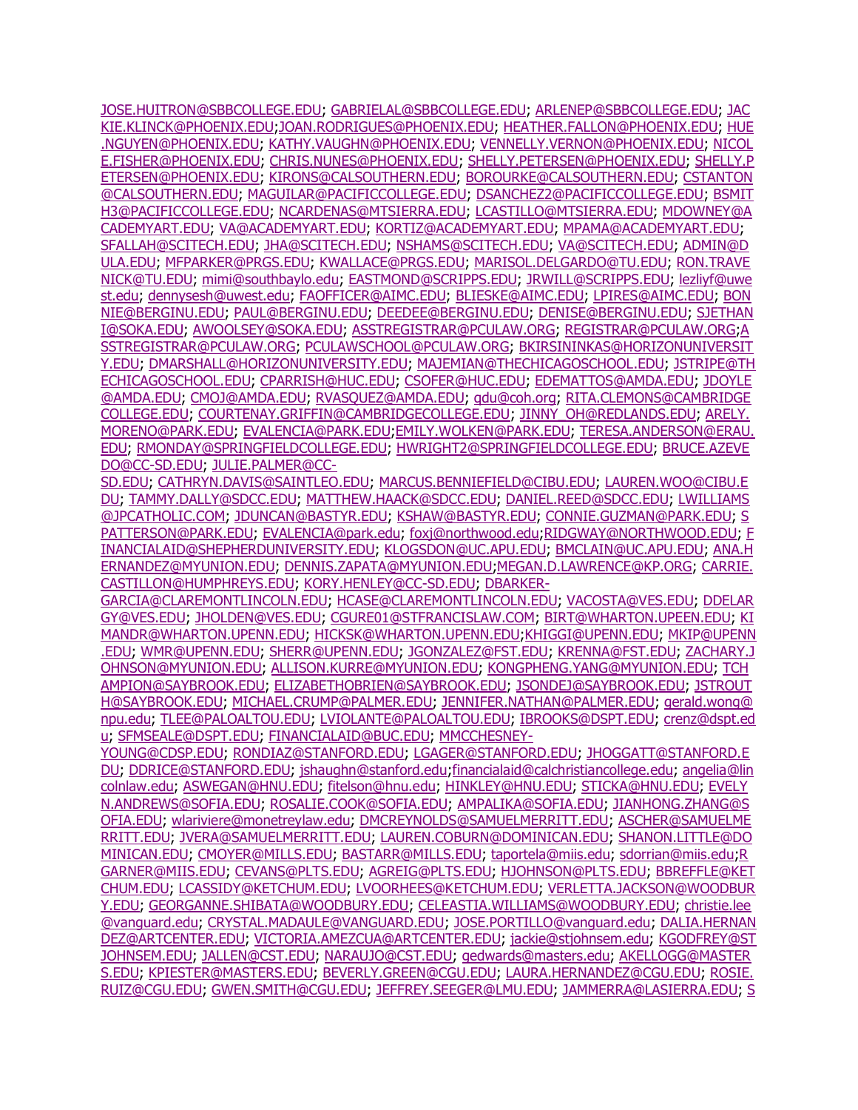[JOSE.HUITRON@SBBCOLLEGE.EDU;](mailto:JOSE.HUITRON@SBBCOLLEGE.EDU) [GABRIELAL@SBBCOLLEGE.EDU;](mailto:GABRIELAL@SBBCOLLEGE.EDU) [ARLENEP@SBBCOLLEGE.EDU;](mailto:ARLENEP@SBBCOLLEGE.EDU) [JAC](mailto:JACKIE.KLINCK@PHOENIX.EDU) [KIE.KLINCK@PHOENIX.EDU;](mailto:JACKIE.KLINCK@PHOENIX.EDU)[JOAN.RODRIGUES@PHOENIX.EDU;](mailto:JOAN.RODRIGUES@PHOENIX.EDU) [HEATHER.FALLON@PHOENIX.EDU;](mailto:HEATHER.FALLON@PHOENIX.EDU) [HUE](mailto:HUE.NGUYEN@PHOENIX.EDU) [.NGUYEN@PHOENIX.EDU;](mailto:HUE.NGUYEN@PHOENIX.EDU) [KATHY.VAUGHN@PHOENIX.EDU;](mailto:KATHY.VAUGHN@PHOENIX.EDU) [VENNELLY.VERNON@PHOENIX.EDU;](mailto:VENNELLY.VERNON@PHOENIX.EDU) [NICOL](mailto:NICOLE.FISHER@PHOENIX.EDU) [E.FISHER@PHOENIX.EDU;](mailto:NICOLE.FISHER@PHOENIX.EDU) [CHRIS.NUNES@PHOENIX.EDU;](mailto:CHRIS.NUNES@PHOENIX.EDU) [SHELLY.PETERSEN@PHOENIX.EDU;](mailto:SHELLY.PETERSEN@PHOENIX.EDU) [SHELLY.P](mailto:SHELLY.PETERSEN@PHOENIX.EDU) [ETERSEN@PHOENIX.EDU;](mailto:SHELLY.PETERSEN@PHOENIX.EDU) [KIRONS@CALSOUTHERN.EDU;](mailto:KIRONS@CALSOUTHERN.EDU) [BOROURKE@CALSOUTHERN.EDU;](mailto:BOROURKE@CALSOUTHERN.EDU) [CSTANTON](mailto:CSTANTON@CALSOUTHERN.EDU) [@CALSOUTHERN.EDU;](mailto:CSTANTON@CALSOUTHERN.EDU) [MAGUILAR@PACIFICCOLLEGE.EDU;](mailto:MAGUILAR@PACIFICCOLLEGE.EDU) [DSANCHEZ2@PACIFICCOLLEGE.EDU;](mailto:DSANCHEZ2@PACIFICCOLLEGE.EDU) [BSMIT](mailto:BSMITH3@PACIFICCOLLEGE.EDU) [H3@PACIFICCOLLEGE.EDU;](mailto:BSMITH3@PACIFICCOLLEGE.EDU) [NCARDENAS@MTSIERRA.EDU;](mailto:NCARDENAS@MTSIERRA.EDU) [LCASTILLO@MTSIERRA.EDU;](mailto:LCASTILLO@MTSIERRA.EDU) [MDOWNEY@A](mailto:MDOWNEY@ACADEMYART.EDU) [CADEMYART.EDU;](mailto:MDOWNEY@ACADEMYART.EDU) [VA@ACADEMYART.EDU;](mailto:VA@ACADEMYART.EDU) [KORTIZ@ACADEMYART.EDU;](mailto:KORTIZ@ACADEMYART.EDU) [MPAMA@ACADEMYART.EDU;](mailto:MPAMA@ACADEMYART.EDU) [SFALLAH@SCITECH.EDU;](mailto:SFALLAH@SCITECH.EDU) [JHA@SCITECH.EDU;](mailto:JHA@SCITECH.EDU) [NSHAMS@SCITECH.EDU;](mailto:NSHAMS@SCITECH.EDU) [VA@SCITECH.EDU;](mailto:VA@SCITECH.EDU) [ADMIN@D](mailto:ADMIN@DULA.EDU) [ULA.EDU;](mailto:ADMIN@DULA.EDU) [MFPARKER@PRGS.EDU;](mailto:MFPARKER@PRGS.EDU) [KWALLACE@PRGS.EDU;](mailto:KWALLACE@PRGS.EDU) [MARISOL.DELGARDO@TU.EDU;](mailto:MARISOL.DELGARDO@TU.EDU) [RON.TRAVE](mailto:RON.TRAVENICK@TU.EDU) [NICK@TU.EDU;](mailto:RON.TRAVENICK@TU.EDU) [mimi@southbaylo.edu;](mailto:mimi@southbaylo.edu) [EASTMOND@SCRIPPS.EDU;](mailto:EASTMOND@SCRIPPS.EDU) [JRWILL@SCRIPPS.EDU;](mailto:JRWILL@SCRIPPS.EDU) [lezliyf@uwe](mailto:lezliyf@uwest.edu) [st.edu;](mailto:lezliyf@uwest.edu) [dennysesh@uwest.edu;](mailto:dennysesh@uwest.edu) [FAOFFICER@AIMC.EDU;](mailto:FAOFFICER@AIMC.EDU) [BLIESKE@AIMC.EDU;](mailto:BLIESKE@AIMC.EDU) [LPIRES@AIMC.EDU;](mailto:LPIRES@AIMC.EDU) [BON](mailto:BONNIE@BERGINU.EDU) [NIE@BERGINU.EDU;](mailto:BONNIE@BERGINU.EDU) [PAUL@BERGINU.EDU;](mailto:PAUL@BERGINU.EDU) [DEEDEE@BERGINU.EDU;](mailto:DEEDEE@BERGINU.EDU) [DENISE@BERGINU.EDU;](mailto:DENISE@BERGINU.EDU) [SJETHAN](mailto:SJETHANI@SOKA.EDU) [I@SOKA.EDU;](mailto:SJETHANI@SOKA.EDU) [AWOOLSEY@SOKA.EDU;](mailto:AWOOLSEY@SOKA.EDU) [ASSTREGISTRAR@PCULAW.ORG;](mailto:ASSTREGISTRAR@PCULAW.ORG) [REGISTRAR@PCULAW.ORG;](mailto:REGISTRAR@PCULAW.ORG)[A](mailto:ASSTREGISTRAR@PCULAW.ORG) [SSTREGISTRAR@PCULAW.ORG;](mailto:ASSTREGISTRAR@PCULAW.ORG) [PCULAWSCHOOL@PCULAW.ORG;](mailto:PCULAWSCHOOL@PCULAW.ORG) [BKIRSININKAS@HORIZONUNIVERSIT](mailto:BKIRSININKAS@HORIZONUNIVERSITY.EDU) [Y.EDU;](mailto:BKIRSININKAS@HORIZONUNIVERSITY.EDU) [DMARSHALL@HORIZONUNIVERSITY.EDU;](mailto:DMARSHALL@HORIZONUNIVERSITY.EDU) [MAJEMIAN@THECHICAGOSCHOOL.EDU;](mailto:MAJEMIAN@THECHICAGOSCHOOL.EDU) [JSTRIPE@TH](mailto:JSTRIPE@THECHICAGOSCHOOL.EDU) [ECHICAGOSCHOOL.EDU;](mailto:JSTRIPE@THECHICAGOSCHOOL.EDU) [CPARRISH@HUC.EDU;](mailto:CPARRISH@HUC.EDU) [CSOFER@HUC.EDU;](mailto:CSOFER@HUC.EDU) [EDEMATTOS@AMDA.EDU;](mailto:EDEMATTOS@AMDA.EDU) [JDOYLE](mailto:JDOYLE@AMDA.EDU) [@AMDA.EDU;](mailto:JDOYLE@AMDA.EDU) [CMOJ@AMDA.EDU;](mailto:CMOJ@AMDA.EDU) [RVASQUEZ@AMDA.EDU;](mailto:RVASQUEZ@AMDA.EDU) [qdu@coh.org;](mailto:qdu@coh.org) [RITA.CLEMONS@CAMBRIDGE](mailto:RITA.CLEMONS@CAMBRIDGECOLLEGE.EDU) [COLLEGE.EDU;](mailto:RITA.CLEMONS@CAMBRIDGECOLLEGE.EDU) [COURTENAY.GRIFFIN@CAMBRIDGECOLLEGE.EDU;](mailto:COURTENAY.GRIFFIN@CAMBRIDGECOLLEGE.EDU) [JINNY\\_OH@REDLANDS.EDU;](mailto:JINNY_OH@REDLANDS.EDU) [ARELY.](mailto:ARELY.MORENO@PARK.EDU) [MORENO@PARK.EDU;](mailto:ARELY.MORENO@PARK.EDU) [EVALENCIA@PARK.EDU](mailto:EVALENCIA@PARK.EDU)[;EMILY.WOLKEN@PARK.EDU;](mailto:EMILY.WOLKEN@PARK.EDU) [TERESA.ANDERSON@ERAU.](mailto:TERESA.ANDERSON@ERAU.EDU) [EDU;](mailto:TERESA.ANDERSON@ERAU.EDU) [RMONDAY@SPRINGFIELDCOLLEGE.EDU;](mailto:RMONDAY@SPRINGFIELDCOLLEGE.EDU) [HWRIGHT2@SPRINGFIELDCOLLEGE.EDU;](mailto:HWRIGHT2@SPRINGFIELDCOLLEGE.EDU) [BRUCE.AZEVE](mailto:BRUCE.AZEVEDO@CC-SD.EDU) [DO@CC-SD.EDU;](mailto:BRUCE.AZEVEDO@CC-SD.EDU) [JULIE.PALMER@CC-](mailto:JULIE.PALMER@CC-SD.EDU)

[SD.EDU;](mailto:JULIE.PALMER@CC-SD.EDU) [CATHRYN.DAVIS@SAINTLEO.EDU;](mailto:CATHRYN.DAVIS@SAINTLEO.EDU) [MARCUS.BENNIEFIELD@CIBU.EDU;](mailto:MARCUS.BENNIEFIELD@CIBU.EDU) [LAUREN.WOO@CIBU.E](mailto:LAUREN.WOO@CIBU.EDU) [DU;](mailto:LAUREN.WOO@CIBU.EDU) [TAMMY.DALLY@SDCC.EDU;](mailto:TAMMY.DALLY@SDCC.EDU) [MATTHEW.HAACK@SDCC.EDU;](mailto:MATTHEW.HAACK@SDCC.EDU) [DANIEL.REED@SDCC.EDU;](mailto:DANIEL.REED@SDCC.EDU) [LWILLIAMS](mailto:LWILLIAMS@JPCATHOLIC.COM) [@JPCATHOLIC.COM;](mailto:LWILLIAMS@JPCATHOLIC.COM) [JDUNCAN@BASTYR.EDU;](mailto:JDUNCAN@BASTYR.EDU) [KSHAW@BASTYR.EDU;](mailto:KSHAW@BASTYR.EDU) [CONNIE.GUZMAN@PARK.EDU;](mailto:CONNIE.GUZMAN@PARK.EDU) [S](mailto:SPATTERSON@PARK.EDU) [PATTERSON@PARK.EDU;](mailto:SPATTERSON@PARK.EDU) [EVALENCIA@park.edu;](mailto:EVALENCIA@park.edu) [foxj@northwood.edu](mailto:foxj@northwood.edu)[;RIDGWAY@NORTHWOOD.EDU;](mailto:RIDGWAY@NORTHWOOD.EDU) [F](mailto:FINANCIALAID@SHEPHERDUNIVERSITY.EDU) [INANCIALAID@SHEPHERDUNIVERSITY.EDU;](mailto:FINANCIALAID@SHEPHERDUNIVERSITY.EDU) [KLOGSDON@UC.APU.EDU;](mailto:KLOGSDON@UC.APU.EDU) [BMCLAIN@UC.APU.EDU;](mailto:BMCLAIN@UC.APU.EDU) [ANA.H](mailto:ANA.HERNANDEZ@MYUNION.EDU) [ERNANDEZ@MYUNION.EDU;](mailto:ANA.HERNANDEZ@MYUNION.EDU) [DENNIS.ZAPATA@MYUNION.EDU;](mailto:DENNIS.ZAPATA@MYUNION.EDU)[MEGAN.D.LAWRENCE@KP.ORG;](mailto:MEGAN.D.LAWRENCE@KP.ORG) [CARRIE.](mailto:CARRIE.CASTILLON@HUMPHREYS.EDU) [CASTILLON@HUMPHREYS.EDU;](mailto:CARRIE.CASTILLON@HUMPHREYS.EDU) [KORY.HENLEY@CC-SD.EDU;](mailto:KORY.HENLEY@CC-SD.EDU) [DBARKER-](mailto:DBARKER-GARCIA@CLAREMONTLINCOLN.EDU)

[GARCIA@CLAREMONTLINCOLN.EDU;](mailto:DBARKER-GARCIA@CLAREMONTLINCOLN.EDU) [HCASE@CLAREMONTLINCOLN.EDU;](mailto:HCASE@CLAREMONTLINCOLN.EDU) [VACOSTA@VES.EDU;](mailto:VACOSTA@VES.EDU) [DDELAR](mailto:DDELARGY@VES.EDU) [GY@VES.EDU;](mailto:DDELARGY@VES.EDU) [JHOLDEN@VES.EDU;](mailto:JHOLDEN@VES.EDU) [CGURE01@STFRANCISLAW.COM;](mailto:CGURE01@STFRANCISLAW.COM) [BIRT@WHARTON.UPEEN.EDU;](mailto:BIRT@WHARTON.UPEEN.EDU) [KI](mailto:KIMANDR@WHARTON.UPENN.EDU) [MANDR@WHARTON.UPENN.EDU;](mailto:KIMANDR@WHARTON.UPENN.EDU) [HICKSK@WHARTON.UPENN.EDU;](mailto:HICKSK@WHARTON.UPENN.EDU)[KHIGGI@UPENN.EDU;](mailto:KHIGGI@UPENN.EDU) [MKIP@UPENN](mailto:MKIP@UPENN.EDU) [.EDU;](mailto:MKIP@UPENN.EDU) [WMR@UPENN.EDU;](mailto:WMR@UPENN.EDU) [SHERR@UPENN.EDU;](mailto:SHERR@UPENN.EDU) [JGONZALEZ@FST.EDU;](mailto:JGONZALEZ@FST.EDU) [KRENNA@FST.EDU;](mailto:KRENNA@FST.EDU) [ZACHARY.J](mailto:ZACHARY.JOHNSON@MYUNION.EDU) [OHNSON@MYUNION.EDU;](mailto:ZACHARY.JOHNSON@MYUNION.EDU) [ALLISON.KURRE@MYUNION.EDU;](mailto:ALLISON.KURRE@MYUNION.EDU) [KONGPHENG.YANG@MYUNION.EDU;](mailto:KONGPHENG.YANG@MYUNION.EDU) [TCH](mailto:TCHAMPION@SAYBROOK.EDU) [AMPION@SAYBROOK.EDU;](mailto:TCHAMPION@SAYBROOK.EDU) [ELIZABETHOBRIEN@SAYBROOK.EDU;](mailto:ELIZABETHOBRIEN@SAYBROOK.EDU) [JSONDEJ@SAYBROOK.EDU;](mailto:JSONDEJ@SAYBROOK.EDU) [JSTROUT](mailto:JSTROUTH@SAYBROOK.EDU) [H@SAYBROOK.EDU;](mailto:JSTROUTH@SAYBROOK.EDU) [MICHAEL.CRUMP@PALMER.EDU;](mailto:MICHAEL.CRUMP@PALMER.EDU) [JENNIFER.NATHAN@PALMER.EDU;](mailto:JENNIFER.NATHAN@PALMER.EDU) [gerald.wong@](mailto:gerald.wong@npu.edu) [npu.edu;](mailto:gerald.wong@npu.edu) [TLEE@PALOALTOU.EDU;](mailto:TLEE@PALOALTOU.EDU) [LVIOLANTE@PALOALTOU.EDU;](mailto:LVIOLANTE@PALOALTOU.EDU) [IBROOKS@DSPT.EDU;](mailto:IBROOKS@DSPT.EDU) [crenz@dspt.ed](mailto:crenz@dspt.edu) [u;](mailto:crenz@dspt.edu) [SFMSEALE@DSPT.EDU;](mailto:SFMSEALE@DSPT.EDU) [FINANCIALAID@BUC.EDU;](mailto:FINANCIALAID@BUC.EDU) [MMCCHESNEY-](mailto:MMCCHESNEY-YOUNG@CDSP.EDU)

[YOUNG@CDSP.EDU;](mailto:MMCCHESNEY-YOUNG@CDSP.EDU) [RONDIAZ@STANFORD.EDU;](mailto:RONDIAZ@STANFORD.EDU) [LGAGER@STANFORD.EDU;](mailto:LGAGER@STANFORD.EDU) [JHOGGATT@STANFORD.E](mailto:JHOGGATT@STANFORD.EDU) [DU;](mailto:JHOGGATT@STANFORD.EDU) [DDRICE@STANFORD.EDU;](mailto:DDRICE@STANFORD.EDU) [jshaughn@stanford.edu;](mailto:jshaughn@stanford.edu)[financialaid@calchristiancollege.edu;](mailto:financialaid@calchristiancollege.edu) [angelia@lin](mailto:angelia@lincolnlaw.edu) [colnlaw.edu;](mailto:angelia@lincolnlaw.edu) [ASWEGAN@HNU.EDU;](mailto:ASWEGAN@HNU.EDU) [fitelson@hnu.edu;](mailto:fitelson@hnu.edu) [HINKLEY@HNU.EDU;](mailto:HINKLEY@HNU.EDU) [STICKA@HNU.EDU;](mailto:STICKA@HNU.EDU) [EVELY](mailto:EVELYN.ANDREWS@SOFIA.EDU) [N.ANDREWS@SOFIA.EDU;](mailto:EVELYN.ANDREWS@SOFIA.EDU) [ROSALIE.COOK@SOFIA.EDU;](mailto:ROSALIE.COOK@SOFIA.EDU) [AMPALIKA@SOFIA.EDU;](mailto:AMPALIKA@SOFIA.EDU) [JIANHONG.ZHANG@S](mailto:JIANHONG.ZHANG@SOFIA.EDU) [OFIA.EDU;](mailto:JIANHONG.ZHANG@SOFIA.EDU) [wlariviere@monetreylaw.edu;](mailto:wlariviere@monetreylaw.edu) [DMCREYNOLDS@SAMUELMERRITT.EDU;](mailto:DMCREYNOLDS@SAMUELMERRITT.EDU) [ASCHER@SAMUELME](mailto:ASCHER@SAMUELMERRITT.EDU) [RRITT.EDU;](mailto:ASCHER@SAMUELMERRITT.EDU) [JVERA@SAMUELMERRITT.EDU;](mailto:JVERA@SAMUELMERRITT.EDU) [LAUREN.COBURN@DOMINICAN.EDU;](mailto:LAUREN.COBURN@DOMINICAN.EDU) [SHANON.LITTLE@DO](mailto:SHANON.LITTLE@DOMINICAN.EDU) [MINICAN.EDU;](mailto:SHANON.LITTLE@DOMINICAN.EDU) [CMOYER@MILLS.EDU;](mailto:CMOYER@MILLS.EDU) [BASTARR@MILLS.EDU;](mailto:BASTARR@MILLS.EDU) [taportela@miis.edu;](mailto:taportela@miis.edu) [sdorrian@miis.edu](mailto:sdorrian@miis.edu)[;R](mailto:RGARNER@MIIS.EDU) [GARNER@MIIS.EDU;](mailto:RGARNER@MIIS.EDU) [CEVANS@PLTS.EDU;](mailto:CEVANS@PLTS.EDU) [AGREIG@PLTS.EDU;](mailto:AGREIG@PLTS.EDU) [HJOHNSON@PLTS.EDU;](mailto:HJOHNSON@PLTS.EDU) [BBREFFLE@KET](mailto:BBREFFLE@KETCHUM.EDU) [CHUM.EDU;](mailto:BBREFFLE@KETCHUM.EDU) [LCASSIDY@KETCHUM.EDU;](mailto:LCASSIDY@KETCHUM.EDU) [LVOORHEES@KETCHUM.EDU;](mailto:LVOORHEES@KETCHUM.EDU) [VERLETTA.JACKSON@WOODBUR](mailto:VERLETTA.JACKSON@WOODBURY.EDU) [Y.EDU;](mailto:VERLETTA.JACKSON@WOODBURY.EDU) [GEORGANNE.SHIBATA@WOODBURY.EDU;](mailto:GEORGANNE.SHIBATA@WOODBURY.EDU) [CELEASTIA.WILLIAMS@WOODBURY.EDU;](mailto:CELEASTIA.WILLIAMS@WOODBURY.EDU) [christie.lee](mailto:christie.lee@vanguard.edu) [@vanguard.edu;](mailto:christie.lee@vanguard.edu) [CRYSTAL.MADAULE@VANGUARD.EDU;](mailto:CRYSTAL.MADAULE@VANGUARD.EDU) [JOSE.PORTILLO@vanguard.edu;](mailto:JOSE.PORTILLO@vanguard.edu) [DALIA.HERNAN](mailto:DALIA.HERNANDEZ@ARTCENTER.EDU) [DEZ@ARTCENTER.EDU;](mailto:DALIA.HERNANDEZ@ARTCENTER.EDU) [VICTORIA.AMEZCUA@ARTCENTER.EDU;](mailto:VICTORIA.AMEZCUA@ARTCENTER.EDU) [jackie@stjohnsem.edu;](mailto:jackie@stjohnsem.edu) [KGODFREY@ST](mailto:KGODFREY@STJOHNSEM.EDU) [JOHNSEM.EDU;](mailto:KGODFREY@STJOHNSEM.EDU) [JALLEN@CST.EDU;](mailto:JALLEN@CST.EDU) [NARAUJO@CST.EDU;](mailto:NARAUJO@CST.EDU) [gedwards@masters.edu;](mailto:gedwards@masters.edu) [AKELLOGG@MASTER](mailto:AKELLOGG@MASTERS.EDU) [S.EDU;](mailto:AKELLOGG@MASTERS.EDU) [KPIESTER@MASTERS.EDU;](mailto:KPIESTER@MASTERS.EDU) [BEVERLY.GREEN@CGU.EDU;](mailto:BEVERLY.GREEN@CGU.EDU) [LAURA.HERNANDEZ@CGU.EDU;](mailto:LAURA.HERNANDEZ@CGU.EDU) [ROSIE.](mailto:ROSIE.RUIZ@CGU.EDU) [RUIZ@CGU.EDU;](mailto:ROSIE.RUIZ@CGU.EDU) [GWEN.SMITH@CGU.EDU;](mailto:GWEN.SMITH@CGU.EDU) [JEFFREY.SEEGER@LMU.EDU;](mailto:JEFFREY.SEEGER@LMU.EDU) [JAMMERRA@LASIERRA.EDU;](mailto:JAMMERRA@LASIERRA.EDU) [S](mailto:SMCFARLA@LASIERRA.EDU)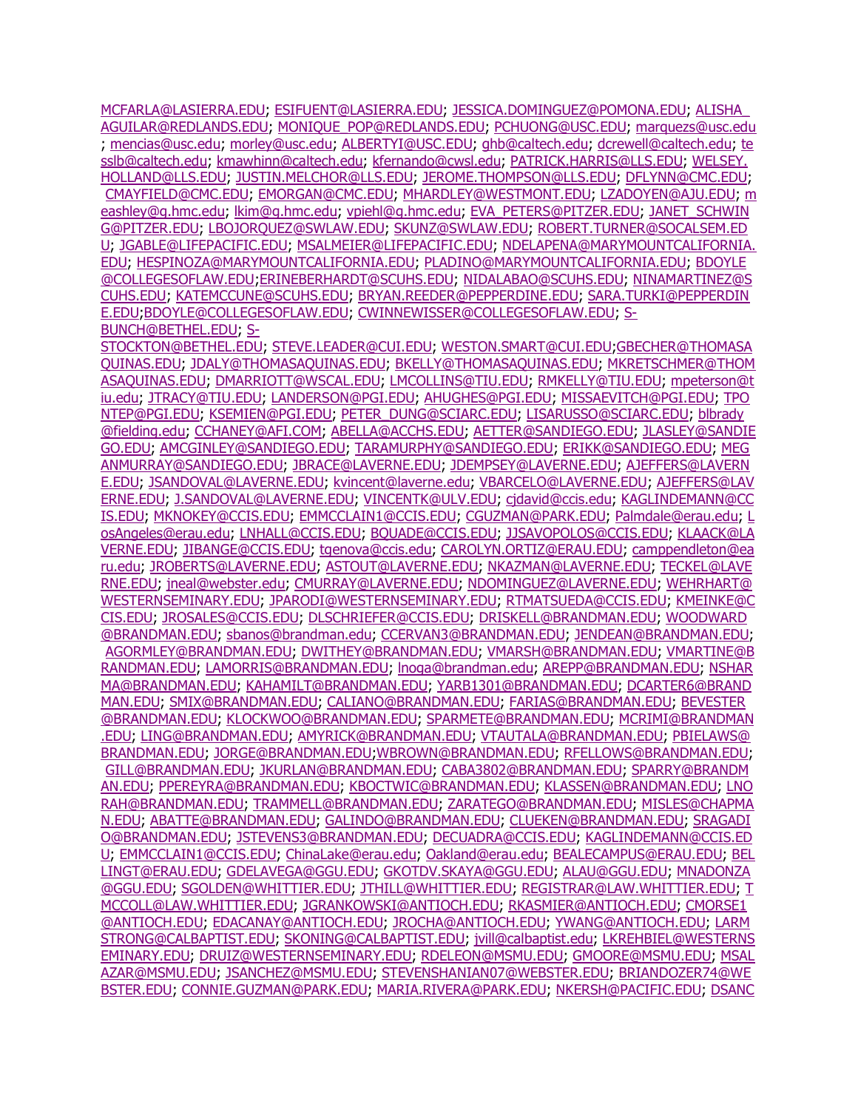[MCFARLA@LASIERRA.EDU;](mailto:SMCFARLA@LASIERRA.EDU) [ESIFUENT@LASIERRA.EDU;](mailto:ESIFUENT@LASIERRA.EDU) [JESSICA.DOMINGUEZ@POMONA.EDU;](mailto:JESSICA.DOMINGUEZ@POMONA.EDU) [ALISHA\\_](mailto:ALISHA_AGUILAR@REDLANDS.EDU) [AGUILAR@REDLANDS.EDU;](mailto:ALISHA_AGUILAR@REDLANDS.EDU) [MONIQUE\\_POP@REDLANDS.EDU;](mailto:MONIQUE_POP@REDLANDS.EDU) [PCHUONG@USC.EDU;](mailto:PCHUONG@USC.EDU) [marquezs@usc.edu](mailto:marquezs@usc.edu) ; [mencias@usc.edu;](mailto:mencias@usc.edu) [morley@usc.edu;](mailto:morley@usc.edu) [ALBERTYI@USC.EDU;](mailto:ALBERTYI@USC.EDU) [ghb@caltech.edu;](mailto:ghb@caltech.edu) [dcrewell@caltech.edu;](mailto:dcrewell@caltech.edu) [te](mailto:tesslb@caltech.edu) [sslb@caltech.edu;](mailto:tesslb@caltech.edu) [kmawhinn@caltech.edu;](mailto:kmawhinn@caltech.edu) [kfernando@cwsl.edu;](mailto:kfernando@cwsl.edu) [PATRICK.HARRIS@LLS.EDU;](mailto:PATRICK.HARRIS@LLS.EDU) [WELSEY.](mailto:WELSEY.HOLLAND@LLS.EDU) [HOLLAND@LLS.EDU;](mailto:WELSEY.HOLLAND@LLS.EDU) [JUSTIN.MELCHOR@LLS.EDU;](mailto:JUSTIN.MELCHOR@LLS.EDU) [JEROME.THOMPSON@LLS.EDU;](mailto:JEROME.THOMPSON@LLS.EDU) [DFLYNN@CMC.EDU;](mailto:DFLYNN@CMC.EDU) [CMAYFIELD@CMC.EDU;](mailto:CMAYFIELD@CMC.EDU) [EMORGAN@CMC.EDU;](mailto:EMORGAN@CMC.EDU) [MHARDLEY@WESTMONT.EDU;](mailto:MHARDLEY@WESTMONT.EDU) [LZADOYEN@AJU.EDU;](mailto:LZADOYEN@AJU.EDU) [m](mailto:meashley@g.hmc.edu) [eashley@g.hmc.edu;](mailto:meashley@g.hmc.edu) [lkim@g.hmc.edu;](mailto:lkim@g.hmc.edu) [vpiehl@g.hmc.edu;](mailto:vpiehl@g.hmc.edu) [EVA\\_PETERS@PITZER.EDU;](mailto:EVA_PETERS@PITZER.EDU) [JANET\\_SCHWIN](mailto:JANET_SCHWING@PITZER.EDU) [G@PITZER.EDU;](mailto:JANET_SCHWING@PITZER.EDU) [LBOJORQUEZ@SWLAW.EDU;](mailto:LBOJORQUEZ@SWLAW.EDU) [SKUNZ@SWLAW.EDU;](mailto:SKUNZ@SWLAW.EDU) [ROBERT.TURNER@SOCALSEM.ED](mailto:ROBERT.TURNER@SOCALSEM.EDU) [U;](mailto:ROBERT.TURNER@SOCALSEM.EDU) [JGABLE@LIFEPACIFIC.EDU;](mailto:JGABLE@LIFEPACIFIC.EDU) [MSALMEIER@LIFEPACIFIC.EDU;](mailto:MSALMEIER@LIFEPACIFIC.EDU) [NDELAPENA@MARYMOUNTCALIFORNIA.](mailto:NDELAPENA@MARYMOUNTCALIFORNIA.EDU) [EDU;](mailto:NDELAPENA@MARYMOUNTCALIFORNIA.EDU) [HESPINOZA@MARYMOUNTCALIFORNIA.EDU;](mailto:HESPINOZA@MARYMOUNTCALIFORNIA.EDU) [PLADINO@MARYMOUNTCALIFORNIA.EDU;](mailto:PLADINO@MARYMOUNTCALIFORNIA.EDU) [BDOYLE](mailto:BDOYLE@COLLEGESOFLAW.EDU) [@COLLEGESOFLAW.EDU](mailto:BDOYLE@COLLEGESOFLAW.EDU)[;ERINEBERHARDT@SCUHS.EDU;](mailto:ERINEBERHARDT@SCUHS.EDU) [NIDALABAO@SCUHS.EDU;](mailto:NIDALABAO@SCUHS.EDU) [NINAMARTINEZ@S](mailto:NINAMARTINEZ@SCUHS.EDU) [CUHS.EDU;](mailto:NINAMARTINEZ@SCUHS.EDU) [KATEMCCUNE@SCUHS.EDU;](mailto:KATEMCCUNE@SCUHS.EDU) [BRYAN.REEDER@PEPPERDINE.EDU;](mailto:BRYAN.REEDER@PEPPERDINE.EDU) [SARA.TURKI@PEPPERDIN](mailto:SARA.TURKI@PEPPERDINE.EDU) [E.EDU;](mailto:SARA.TURKI@PEPPERDINE.EDU)[BDOYLE@COLLEGESOFLAW.EDU;](mailto:BDOYLE@COLLEGESOFLAW.EDU) [CWINNEWISSER@COLLEGESOFLAW.EDU;](mailto:CWINNEWISSER@COLLEGESOFLAW.EDU) [S-](mailto:S-BUNCH@BETHEL.EDU)[BUNCH@BETHEL.EDU;](mailto:S-BUNCH@BETHEL.EDU) [S-](mailto:S-STOCKTON@BETHEL.EDU)

[STOCKTON@BETHEL.EDU;](mailto:S-STOCKTON@BETHEL.EDU) [STEVE.LEADER@CUI.EDU;](mailto:STEVE.LEADER@CUI.EDU) [WESTON.SMART@CUI.EDU;](mailto:WESTON.SMART@CUI.EDU)[GBECHER@THOMASA](mailto:GBECHER@THOMASAQUINAS.EDU) [QUINAS.EDU;](mailto:GBECHER@THOMASAQUINAS.EDU) [JDALY@THOMASAQUINAS.EDU;](mailto:JDALY@THOMASAQUINAS.EDU) [BKELLY@THOMASAQUINAS.EDU;](mailto:BKELLY@THOMASAQUINAS.EDU) [MKRETSCHMER@THOM](mailto:MKRETSCHMER@THOMASAQUINAS.EDU) [ASAQUINAS.EDU;](mailto:MKRETSCHMER@THOMASAQUINAS.EDU) [DMARRIOTT@WSCAL.EDU;](mailto:DMARRIOTT@WSCAL.EDU) [LMCOLLINS@TIU.EDU;](mailto:LMCOLLINS@TIU.EDU) [RMKELLY@TIU.EDU;](mailto:RMKELLY@TIU.EDU) [mpeterson@t](mailto:mpeterson@tiu.edu) [iu.edu;](mailto:mpeterson@tiu.edu) [JTRACY@TIU.EDU;](mailto:JTRACY@TIU.EDU) [LANDERSON@PGI.EDU;](mailto:LANDERSON@PGI.EDU) [AHUGHES@PGI.EDU;](mailto:AHUGHES@PGI.EDU) [MISSAEVITCH@PGI.EDU;](mailto:MISSAEVITCH@PGI.EDU) [TPO](mailto:TPONTEP@PGI.EDU) [NTEP@PGI.EDU;](mailto:TPONTEP@PGI.EDU) [KSEMIEN@PGI.EDU;](mailto:KSEMIEN@PGI.EDU) [PETER\\_DUNG@SCIARC.EDU;](mailto:PETER_DUNG@SCIARC.EDU) [LISARUSSO@SCIARC.EDU;](mailto:LISARUSSO@SCIARC.EDU) [blbrady](mailto:blbrady@fielding.edu) [@fielding.edu;](mailto:blbrady@fielding.edu) [CCHANEY@AFI.COM;](mailto:CCHANEY@AFI.COM) [ABELLA@ACCHS.EDU;](mailto:ABELLA@ACCHS.EDU) [AETTER@SANDIEGO.EDU;](mailto:AETTER@SANDIEGO.EDU) [JLASLEY@SANDIE](mailto:JLASLEY@SANDIEGO.EDU) [GO.EDU;](mailto:JLASLEY@SANDIEGO.EDU) [AMCGINLEY@SANDIEGO.EDU;](mailto:AMCGINLEY@SANDIEGO.EDU) [TARAMURPHY@SANDIEGO.EDU;](mailto:TARAMURPHY@SANDIEGO.EDU) [ERIKK@SANDIEGO.EDU;](mailto:ERIKK@SANDIEGO.EDU) [MEG](mailto:MEGANMURRAY@SANDIEGO.EDU) [ANMURRAY@SANDIEGO.EDU;](mailto:MEGANMURRAY@SANDIEGO.EDU) [JBRACE@LAVERNE.EDU;](mailto:JBRACE@LAVERNE.EDU) [JDEMPSEY@LAVERNE.EDU;](mailto:JDEMPSEY@LAVERNE.EDU) [AJEFFERS@LAVERN](mailto:AJEFFERS@LAVERNE.EDU) [E.EDU;](mailto:AJEFFERS@LAVERNE.EDU) [JSANDOVAL@LAVERNE.EDU;](mailto:JSANDOVAL@LAVERNE.EDU) [kvincent@laverne.edu;](mailto:kvincent@laverne.edu) [VBARCELO@LAVERNE.EDU;](mailto:VBARCELO@LAVERNE.EDU) [AJEFFERS@LAV](mailto:AJEFFERS@LAVERNE.EDU) [ERNE.EDU;](mailto:AJEFFERS@LAVERNE.EDU) [J.SANDOVAL@LAVERNE.EDU;](mailto:J.SANDOVAL@LAVERNE.EDU) [VINCENTK@ULV.EDU;](mailto:VINCENTK@ULV.EDU) [cjdavid@ccis.edu;](mailto:cjdavid@ccis.edu) [KAGLINDEMANN@CC](mailto:KAGLINDEMANN@CCIS.EDU) [IS.EDU;](mailto:KAGLINDEMANN@CCIS.EDU) [MKNOKEY@CCIS.EDU;](mailto:MKNOKEY@CCIS.EDU) [EMMCCLAIN1@CCIS.EDU;](mailto:EMMCCLAIN1@CCIS.EDU) [CGUZMAN@PARK.EDU;](mailto:CGUZMAN@PARK.EDU) [Palmdale@erau.edu;](mailto:Palmdale@erau.edu) [L](mailto:LosAngeles@erau.edu) [osAngeles@erau.edu;](mailto:LosAngeles@erau.edu) [LNHALL@CCIS.EDU;](mailto:LNHALL@CCIS.EDU) [BQUADE@CCIS.EDU;](mailto:BQUADE@CCIS.EDU) [JJSAVOPOLOS@CCIS.EDU;](mailto:JJSAVOPOLOS@CCIS.EDU) [KLAACK@LA](mailto:KLAACK@LAVERNE.EDU) [VERNE.EDU;](mailto:KLAACK@LAVERNE.EDU) [JIBANGE@CCIS.EDU;](mailto:JIBANGE@CCIS.EDU) [tgenova@ccis.edu;](mailto:tgenova@ccis.edu) [CAROLYN.ORTIZ@ERAU.EDU;](mailto:CAROLYN.ORTIZ@ERAU.EDU) [camppendleton@ea](mailto:camppendleton@earu.edu) [ru.edu;](mailto:camppendleton@earu.edu) [JROBERTS@LAVERNE.EDU;](mailto:JROBERTS@LAVERNE.EDU) [ASTOUT@LAVERNE.EDU;](mailto:ASTOUT@LAVERNE.EDU) [NKAZMAN@LAVERNE.EDU;](mailto:NKAZMAN@LAVERNE.EDU) [TECKEL@LAVE](mailto:TECKEL@LAVERNE.EDU) [RNE.EDU;](mailto:TECKEL@LAVERNE.EDU) [jneal@webster.edu;](mailto:jneal@webster.edu) [CMURRAY@LAVERNE.EDU;](mailto:CMURRAY@LAVERNE.EDU) [NDOMINGUEZ@LAVERNE.EDU;](mailto:NDOMINGUEZ@LAVERNE.EDU) [WEHRHART@](mailto:WEHRHART@WESTERNSEMINARY.EDU) [WESTERNSEMINARY.EDU;](mailto:WEHRHART@WESTERNSEMINARY.EDU) [JPARODI@WESTERNSEMINARY.EDU;](mailto:JPARODI@WESTERNSEMINARY.EDU) [RTMATSUEDA@CCIS.EDU;](mailto:RTMATSUEDA@CCIS.EDU) [KMEINKE@C](mailto:KMEINKE@CCIS.EDU) [CIS.EDU;](mailto:KMEINKE@CCIS.EDU) [JROSALES@CCIS.EDU;](mailto:JROSALES@CCIS.EDU) [DLSCHRIEFER@CCIS.EDU;](mailto:DLSCHRIEFER@CCIS.EDU) [DRISKELL@BRANDMAN.EDU;](mailto:DRISKELL@BRANDMAN.EDU) [WOODWARD](mailto:WOODWARD@BRANDMAN.EDU) [@BRANDMAN.EDU;](mailto:WOODWARD@BRANDMAN.EDU) [sbanos@brandman.edu;](mailto:sbanos@brandman.edu) [CCERVAN3@BRANDMAN.EDU;](mailto:CCERVAN3@BRANDMAN.EDU) [JENDEAN@BRANDMAN.EDU;](mailto:JENDEAN@BRANDMAN.EDU) [AGORMLEY@BRANDMAN.EDU;](mailto:AGORMLEY@BRANDMAN.EDU) [DWITHEY@BRANDMAN.EDU;](mailto:DWITHEY@BRANDMAN.EDU) [VMARSH@BRANDMAN.EDU;](mailto:VMARSH@BRANDMAN.EDU) [VMARTINE@B](mailto:VMARTINE@BRANDMAN.EDU) [RANDMAN.EDU;](mailto:VMARTINE@BRANDMAN.EDU) [LAMORRIS@BRANDMAN.EDU;](mailto:LAMORRIS@BRANDMAN.EDU) [lnoga@brandman.edu;](mailto:lnoga@brandman.edu) [AREPP@BRANDMAN.EDU;](mailto:AREPP@BRANDMAN.EDU) [NSHAR](mailto:NSHARMA@BRANDMAN.EDU) [MA@BRANDMAN.EDU;](mailto:NSHARMA@BRANDMAN.EDU) [KAHAMILT@BRANDMAN.EDU;](mailto:KAHAMILT@BRANDMAN.EDU) [YARB1301@BRANDMAN.EDU;](mailto:YARB1301@BRANDMAN.EDU) [DCARTER6@BRAND](mailto:DCARTER6@BRANDMAN.EDU) [MAN.EDU;](mailto:DCARTER6@BRANDMAN.EDU) [SMIX@BRANDMAN.EDU;](mailto:SMIX@BRANDMAN.EDU) [CALIANO@BRANDMAN.EDU;](mailto:CALIANO@BRANDMAN.EDU) [FARIAS@BRANDMAN.EDU;](mailto:FARIAS@BRANDMAN.EDU) [BEVESTER](mailto:BEVESTER@BRANDMAN.EDU) [@BRANDMAN.EDU;](mailto:BEVESTER@BRANDMAN.EDU) [KLOCKWOO@BRANDMAN.EDU;](mailto:KLOCKWOO@BRANDMAN.EDU) [SPARMETE@BRANDMAN.EDU;](mailto:SPARMETE@BRANDMAN.EDU) [MCRIMI@BRANDMAN](mailto:MCRIMI@BRANDMAN.EDU) [.EDU;](mailto:MCRIMI@BRANDMAN.EDU) [LING@BRANDMAN.EDU;](mailto:LING@BRANDMAN.EDU) [AMYRICK@BRANDMAN.EDU;](mailto:AMYRICK@BRANDMAN.EDU) [VTAUTALA@BRANDMAN.EDU;](mailto:VTAUTALA@BRANDMAN.EDU) [PBIELAWS@](mailto:PBIELAWS@BRANDMAN.EDU) [BRANDMAN.EDU;](mailto:PBIELAWS@BRANDMAN.EDU) [JORGE@BRANDMAN.EDU;](mailto:JORGE@BRANDMAN.EDU)[WBROWN@BRANDMAN.EDU;](mailto:WBROWN@BRANDMAN.EDU) [RFELLOWS@BRANDMAN.EDU;](mailto:RFELLOWS@BRANDMAN.EDU) [GILL@BRANDMAN.EDU;](mailto:GILL@BRANDMAN.EDU) [JKURLAN@BRANDMAN.EDU;](mailto:JKURLAN@BRANDMAN.EDU) [CABA3802@BRANDMAN.EDU;](mailto:CABA3802@BRANDMAN.EDU) [SPARRY@BRANDM](mailto:SPARRY@BRANDMAN.EDU) [AN.EDU;](mailto:SPARRY@BRANDMAN.EDU) [PPEREYRA@BRANDMAN.EDU;](mailto:PPEREYRA@BRANDMAN.EDU) [KBOCTWIC@BRANDMAN.EDU;](mailto:KBOCTWIC@BRANDMAN.EDU) [KLASSEN@BRANDMAN.EDU;](mailto:KLASSEN@BRANDMAN.EDU) [LNO](mailto:LNORAH@BRANDMAN.EDU) [RAH@BRANDMAN.EDU;](mailto:LNORAH@BRANDMAN.EDU) [TRAMMELL@BRANDMAN.EDU;](mailto:TRAMMELL@BRANDMAN.EDU) [ZARATEGO@BRANDMAN.EDU;](mailto:ZARATEGO@BRANDMAN.EDU) [MISLES@CHAPMA](mailto:MISLES@CHAPMAN.EDU) [N.EDU;](mailto:MISLES@CHAPMAN.EDU) [ABATTE@BRANDMAN.EDU;](mailto:ABATTE@BRANDMAN.EDU) [GALINDO@BRANDMAN.EDU;](mailto:GALINDO@BRANDMAN.EDU) [CLUEKEN@BRANDMAN.EDU;](mailto:CLUEKEN@BRANDMAN.EDU) [SRAGADI](mailto:SRAGADIO@BRANDMAN.EDU) [O@BRANDMAN.EDU;](mailto:SRAGADIO@BRANDMAN.EDU) [JSTEVENS3@BRANDMAN.EDU;](mailto:JSTEVENS3@BRANDMAN.EDU) [DECUADRA@CCIS.EDU;](mailto:DECUADRA@CCIS.EDU) [KAGLINDEMANN@CCIS.ED](mailto:KAGLINDEMANN@CCIS.EDU) [U;](mailto:KAGLINDEMANN@CCIS.EDU) [EMMCCLAIN1@CCIS.EDU;](mailto:EMMCCLAIN1@CCIS.EDU) [ChinaLake@erau.edu;](mailto:ChinaLake@erau.edu) [Oakland@erau.edu;](mailto:Oakland@erau.edu) [BEALECAMPUS@ERAU.EDU;](mailto:BEALECAMPUS@ERAU.EDU) [BEL](mailto:BELLINGT@ERAU.EDU) [LINGT@ERAU.EDU;](mailto:BELLINGT@ERAU.EDU) [GDELAVEGA@GGU.EDU;](mailto:GDELAVEGA@GGU.EDU) [GKOTDV.SKAYA@GGU.EDU;](mailto:GKOTDV.SKAYA@GGU.EDU) [ALAU@GGU.EDU;](mailto:ALAU@GGU.EDU) [MNADONZA](mailto:MNADONZA@GGU.EDU) [@GGU.EDU;](mailto:MNADONZA@GGU.EDU) [SGOLDEN@WHITTIER.EDU;](mailto:SGOLDEN@WHITTIER.EDU) [JTHILL@WHITTIER.EDU;](mailto:JTHILL@WHITTIER.EDU) [REGISTRAR@LAW.WHITTIER.EDU;](mailto:REGISTRAR@LAW.WHITTIER.EDU) [T](mailto:TMCCOLL@LAW.WHITTIER.EDU) [MCCOLL@LAW.WHITTIER.EDU;](mailto:TMCCOLL@LAW.WHITTIER.EDU) [JGRANKOWSKI@ANTIOCH.EDU;](mailto:JGRANKOWSKI@ANTIOCH.EDU) [RKASMIER@ANTIOCH.EDU;](mailto:RKASMIER@ANTIOCH.EDU) [CMORSE1](mailto:CMORSE1@ANTIOCH.EDU) [@ANTIOCH.EDU;](mailto:CMORSE1@ANTIOCH.EDU) [EDACANAY@ANTIOCH.EDU;](mailto:EDACANAY@ANTIOCH.EDU) [JROCHA@ANTIOCH.EDU;](mailto:JROCHA@ANTIOCH.EDU) [YWANG@ANTIOCH.EDU;](mailto:YWANG@ANTIOCH.EDU) [LARM](mailto:LARMSTRONG@CALBAPTIST.EDU) [STRONG@CALBAPTIST.EDU;](mailto:LARMSTRONG@CALBAPTIST.EDU) [SKONING@CALBAPTIST.EDU;](mailto:SKONING@CALBAPTIST.EDU) [jvill@calbaptist.edu;](mailto:jvill@calbaptist.edu) [LKREHBIEL@WESTERNS](mailto:LKREHBIEL@WESTERNSEMINARY.EDU) [EMINARY.EDU;](mailto:LKREHBIEL@WESTERNSEMINARY.EDU) [DRUIZ@WESTERNSEMINARY.EDU;](mailto:DRUIZ@WESTERNSEMINARY.EDU) [RDELEON@MSMU.EDU;](mailto:RDELEON@MSMU.EDU) [GMOORE@MSMU.EDU;](mailto:GMOORE@MSMU.EDU) [MSAL](mailto:MSALAZAR@MSMU.EDU) [AZAR@MSMU.EDU;](mailto:MSALAZAR@MSMU.EDU) [JSANCHEZ@MSMU.EDU;](mailto:JSANCHEZ@MSMU.EDU) [STEVENSHANIAN07@WEBSTER.EDU;](mailto:STEVENSHANIAN07@WEBSTER.EDU) [BRIANDOZER74@WE](mailto:BRIANDOZER74@WEBSTER.EDU) [BSTER.EDU;](mailto:BRIANDOZER74@WEBSTER.EDU) [CONNIE.GUZMAN@PARK.EDU;](mailto:CONNIE.GUZMAN@PARK.EDU) [MARIA.RIVERA@PARK.EDU;](mailto:MARIA.RIVERA@PARK.EDU) [NKERSH@PACIFIC.EDU;](mailto:NKERSH@PACIFIC.EDU) [DSANC](mailto:DSANCHEZ@PACIFIC.EDU)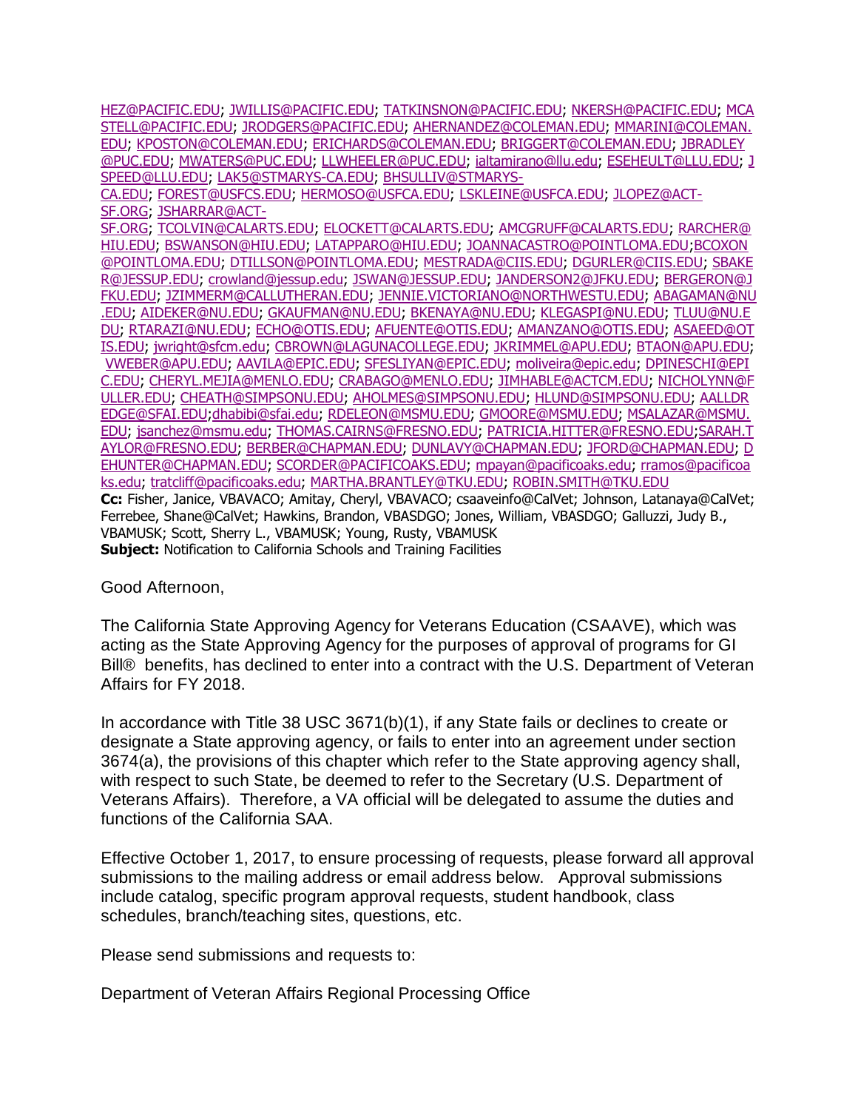[HEZ@PACIFIC.EDU;](mailto:DSANCHEZ@PACIFIC.EDU) [JWILLIS@PACIFIC.EDU;](mailto:JWILLIS@PACIFIC.EDU) [TATKINSNON@PACIFIC.EDU;](mailto:TATKINSNON@PACIFIC.EDU) [NKERSH@PACIFIC.EDU;](mailto:NKERSH@PACIFIC.EDU) [MCA](mailto:MCASTELL@PACIFIC.EDU) [STELL@PACIFIC.EDU;](mailto:MCASTELL@PACIFIC.EDU) [JRODGERS@PACIFIC.EDU;](mailto:JRODGERS@PACIFIC.EDU) [AHERNANDEZ@COLEMAN.EDU;](mailto:AHERNANDEZ@COLEMAN.EDU) [MMARINI@COLEMAN.](mailto:MMARINI@COLEMAN.EDU) [EDU;](mailto:MMARINI@COLEMAN.EDU) [KPOSTON@COLEMAN.EDU;](mailto:KPOSTON@COLEMAN.EDU) [ERICHARDS@COLEMAN.EDU;](mailto:ERICHARDS@COLEMAN.EDU) [BRIGGERT@COLEMAN.EDU;](mailto:BRIGGERT@COLEMAN.EDU) [JBRADLEY](mailto:JBRADLEY@PUC.EDU) [@PUC.EDU;](mailto:JBRADLEY@PUC.EDU) [MWATERS@PUC.EDU;](mailto:MWATERS@PUC.EDU) [LLWHEELER@PUC.EDU;](mailto:LLWHEELER@PUC.EDU) [ialtamirano@llu.edu;](mailto:ialtamirano@llu.edu) [ESEHEULT@LLU.EDU;](mailto:ESEHEULT@LLU.EDU) [J](mailto:JSPEED@LLU.EDU) [SPEED@LLU.EDU;](mailto:JSPEED@LLU.EDU) [LAK5@STMARYS-CA.EDU;](mailto:LAK5@STMARYS-CA.EDU) [BHSULLIV@STMARYS-](mailto:BHSULLIV@STMARYS-CA.EDU)

[CA.EDU;](mailto:BHSULLIV@STMARYS-CA.EDU) [FOREST@USFCS.EDU;](mailto:FOREST@USFCS.EDU) [HERMOSO@USFCA.EDU;](mailto:HERMOSO@USFCA.EDU) [LSKLEINE@USFCA.EDU;](mailto:LSKLEINE@USFCA.EDU) [JLOPEZ@ACT-](mailto:JLOPEZ@ACT-SF.ORG)[SF.ORG;](mailto:JLOPEZ@ACT-SF.ORG) [JSHARRAR@ACT-](mailto:JSHARRAR@ACT-SF.ORG)

[SF.ORG;](mailto:JSHARRAR@ACT-SF.ORG) [TCOLVIN@CALARTS.EDU;](mailto:TCOLVIN@CALARTS.EDU) [ELOCKETT@CALARTS.EDU;](mailto:ELOCKETT@CALARTS.EDU) [AMCGRUFF@CALARTS.EDU;](mailto:AMCGRUFF@CALARTS.EDU) [RARCHER@](mailto:RARCHER@HIU.EDU) [HIU.EDU;](mailto:RARCHER@HIU.EDU) [BSWANSON@HIU.EDU;](mailto:BSWANSON@HIU.EDU) [LATAPPARO@HIU.EDU;](mailto:LATAPPARO@HIU.EDU) [JOANNACASTRO@POINTLOMA.EDU](mailto:JOANNACASTRO@POINTLOMA.EDU)[;BCOXON](mailto:BCOXON@POINTLOMA.EDU) [@POINTLOMA.EDU;](mailto:BCOXON@POINTLOMA.EDU) [DTILLSON@POINTLOMA.EDU;](mailto:DTILLSON@POINTLOMA.EDU) [MESTRADA@CIIS.EDU;](mailto:MESTRADA@CIIS.EDU) [DGURLER@CIIS.EDU;](mailto:DGURLER@CIIS.EDU) [SBAKE](mailto:SBAKER@JESSUP.EDU) [R@JESSUP.EDU;](mailto:SBAKER@JESSUP.EDU) [crowland@jessup.edu;](mailto:crowland@jessup.edu) [JSWAN@JESSUP.EDU;](mailto:JSWAN@JESSUP.EDU) [JANDERSON2@JFKU.EDU;](mailto:JANDERSON2@JFKU.EDU) [BERGERON@J](mailto:BERGERON@JFKU.EDU) [FKU.EDU;](mailto:BERGERON@JFKU.EDU) [JZIMMERM@CALLUTHERAN.EDU;](mailto:JZIMMERM@CALLUTHERAN.EDU) [JENNIE.VICTORIANO@NORTHWESTU.EDU;](mailto:JENNIE.VICTORIANO@NORTHWESTU.EDU) [ABAGAMAN@NU](mailto:ABAGAMAN@NU.EDU) [.EDU;](mailto:ABAGAMAN@NU.EDU) [AIDEKER@NU.EDU;](mailto:AIDEKER@NU.EDU) [GKAUFMAN@NU.EDU;](mailto:GKAUFMAN@NU.EDU) [BKENAYA@NU.EDU;](mailto:BKENAYA@NU.EDU) [KLEGASPI@NU.EDU;](mailto:KLEGASPI@NU.EDU) [TLUU@NU.E](mailto:TLUU@NU.EDU) [DU;](mailto:TLUU@NU.EDU) [RTARAZI@NU.EDU;](mailto:RTARAZI@NU.EDU) [ECHO@OTIS.EDU;](mailto:ECHO@OTIS.EDU) [AFUENTE@OTIS.EDU;](mailto:AFUENTE@OTIS.EDU) [AMANZANO@OTIS.EDU;](mailto:AMANZANO@OTIS.EDU) [ASAEED@OT](mailto:ASAEED@OTIS.EDU) [IS.EDU;](mailto:ASAEED@OTIS.EDU) [jwright@sfcm.edu;](mailto:jwright@sfcm.edu) [CBROWN@LAGUNACOLLEGE.EDU;](mailto:CBROWN@LAGUNACOLLEGE.EDU) [JKRIMMEL@APU.EDU;](mailto:JKRIMMEL@APU.EDU) [BTAON@APU.EDU;](mailto:BTAON@APU.EDU) [VWEBER@APU.EDU;](mailto:VWEBER@APU.EDU) [AAVILA@EPIC.EDU;](mailto:AAVILA@EPIC.EDU) [SFESLIYAN@EPIC.EDU;](mailto:SFESLIYAN@EPIC.EDU) [moliveira@epic.edu;](mailto:moliveira@epic.edu) [DPINESCHI@EPI](mailto:DPINESCHI@EPIC.EDU) [C.EDU;](mailto:DPINESCHI@EPIC.EDU) [CHERYL.MEJIA@MENLO.EDU;](mailto:CHERYL.MEJIA@MENLO.EDU) [CRABAGO@MENLO.EDU;](mailto:CRABAGO@MENLO.EDU) [JIMHABLE@ACTCM.EDU;](mailto:JIMHABLE@ACTCM.EDU) [NICHOLYNN@F](mailto:NICHOLYNN@FULLER.EDU) [ULLER.EDU;](mailto:NICHOLYNN@FULLER.EDU) [CHEATH@SIMPSONU.EDU;](mailto:CHEATH@SIMPSONU.EDU) [AHOLMES@SIMPSONU.EDU;](mailto:AHOLMES@SIMPSONU.EDU) [HLUND@SIMPSONU.EDU;](mailto:HLUND@SIMPSONU.EDU) [AALLDR](mailto:AALLDREDGE@SFAI.EDU) [EDGE@SFAI.EDU;](mailto:AALLDREDGE@SFAI.EDU)[dhabibi@sfai.edu;](mailto:dhabibi@sfai.edu) [RDELEON@MSMU.EDU;](mailto:RDELEON@MSMU.EDU) [GMOORE@MSMU.EDU;](mailto:GMOORE@MSMU.EDU) [MSALAZAR@MSMU.](mailto:MSALAZAR@MSMU.EDU) [EDU;](mailto:MSALAZAR@MSMU.EDU) [jsanchez@msmu.edu;](mailto:jsanchez@msmu.edu) [THOMAS.CAIRNS@FRESNO.EDU;](mailto:THOMAS.CAIRNS@FRESNO.EDU) [PATRICIA.HITTER@FRESNO.EDU;](mailto:PATRICIA.HITTER@FRESNO.EDU)[SARAH.T](mailto:SARAH.TAYLOR@FRESNO.EDU) [AYLOR@FRESNO.EDU;](mailto:SARAH.TAYLOR@FRESNO.EDU) [BERBER@CHAPMAN.EDU;](mailto:BERBER@CHAPMAN.EDU) [DUNLAVY@CHAPMAN.EDU;](mailto:DUNLAVY@CHAPMAN.EDU) [JFORD@CHAPMAN.EDU;](mailto:JFORD@CHAPMAN.EDU) [D](mailto:DEHUNTER@CHAPMAN.EDU) [EHUNTER@CHAPMAN.EDU;](mailto:DEHUNTER@CHAPMAN.EDU) [SCORDER@PACIFICOAKS.EDU;](mailto:SCORDER@PACIFICOAKS.EDU) [mpayan@pacificoaks.edu;](mailto:mpayan@pacificoaks.edu) [rramos@pacificoa](mailto:rramos@pacificoaks.edu) [ks.edu;](mailto:rramos@pacificoaks.edu) [tratcliff@pacificoaks.edu;](mailto:tratcliff@pacificoaks.edu) [MARTHA.BRANTLEY@TKU.EDU;](mailto:MARTHA.BRANTLEY@TKU.EDU) [ROBIN.SMITH@TKU.EDU](mailto:ROBIN.SMITH@TKU.EDU) **Cc:** Fisher, Janice, VBAVACO; Amitay, Cheryl, VBAVACO; csaaveinfo@CalVet; Johnson, Latanaya@CalVet; Ferrebee, Shane@CalVet; Hawkins, Brandon, VBASDGO; Jones, William, VBASDGO; Galluzzi, Judy B., VBAMUSK; Scott, Sherry L., VBAMUSK; Young, Rusty, VBAMUSK **Subject:** Notification to California Schools and Training Facilities

Good Afternoon,

The California State Approving Agency for Veterans Education (CSAAVE), which was acting as the State Approving Agency for the purposes of approval of programs for GI Bill® benefits, has declined to enter into a contract with the U.S. Department of Veteran Affairs for FY 2018.

In accordance with Title 38 USC 3671(b)(1), if any State fails or declines to create or designate a State approving agency, or fails to enter into an agreement under section 3674(a), the provisions of this chapter which refer to the State approving agency shall, with respect to such State, be deemed to refer to the Secretary (U.S. Department of Veterans Affairs). Therefore, a VA official will be delegated to assume the duties and functions of the California SAA.

Effective October 1, 2017, to ensure processing of requests, please forward all approval submissions to the mailing address or email address below. Approval submissions include catalog, specific program approval requests, student handbook, class schedules, branch/teaching sites, questions, etc.

Please send submissions and requests to:

Department of Veteran Affairs Regional Processing Office